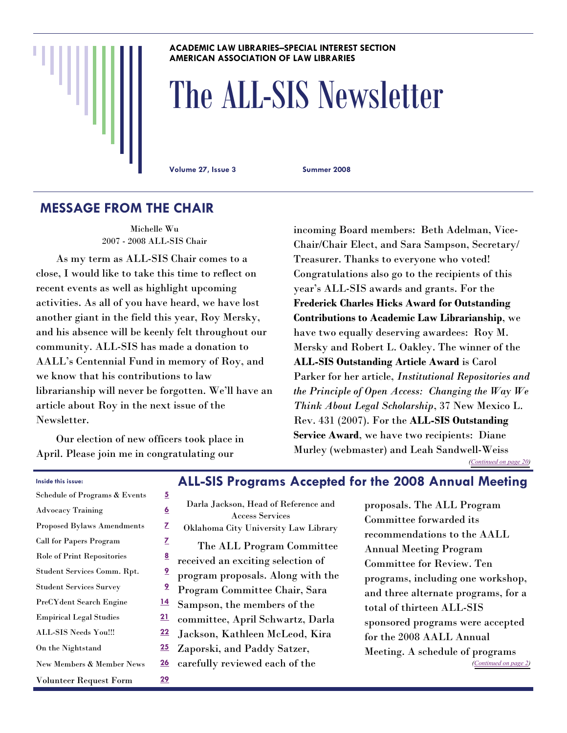#### **ACADEMIC LAW LIBRARIES–SPECIAL INTEREST SECTION AMERICAN ASSOCIATION OF LAW LIBRARIES**

# The ALL-SIS Newsletter

**Volume 27, Issue 3 Summer 2008** 

# **MESSAGE FROM THE CHAIR**

Michelle Wu 2007 - 2008 ALL-SIS Chair

 As my term as ALL-SIS Chair comes to a close, I would like to take this time to reflect on recent events as well as highlight upcoming activities. As all of you have heard, we have lost another giant in the field this year, Roy Mersky, and his absence will be keenly felt throughout our community. ALL-SIS has made a donation to AALL's Centennial Fund in memory of Roy, and we know that his contributions to law librarianship will never be forgotten. We'll have an article about Roy in the next issue of the Newsletter.

 Our election of new officers took place in April. Please join me in congratulating our

incoming Board members: Beth Adelman, Vice-Chair/Chair Elect, and Sara Sampson, Secretary/ Treasurer. Thanks to everyone who voted! Congratulations also go to the recipients of this year's ALL-SIS awards and grants. For the **Frederick Charles Hicks Award for Outstanding Contributions to Academic Law Librarianship**, we have two equally deserving awardees: Roy M. Mersky and Robert L. Oakley. The winner of the **ALL-SIS Outstanding Article Award** is Carol Parker for her article, *Institutional Repositories and the Principle of Open Access: Changing the Way We Think About Legal Scholarship*, 37 New Mexico L. Rev. 431 (2007). For the **ALL-SIS Outstanding Service Award**, we have two recipients: Diane Murley (webmaster) and Leah Sandwell-Weiss *([Continued on page 20\)](#page-19-0)* 

#### **Inside this issue:**

| Schedule of Programs & Events     | 5              |
|-----------------------------------|----------------|
| <b>Advocacy Training</b>          | <u>6</u>       |
| <b>Proposed Bylaws Amendments</b> | Z              |
| <b>Call for Papers Program</b>    | Z              |
| Role of Print Repositories        | <u>8</u>       |
| Student Services Comm. Rpt.       | <u>9</u>       |
| <b>Student Services Survey</b>    | $\overline{9}$ |
| PreCYdent Search Engine           | <u>14</u>      |
| <b>Empirical Legal Studies</b>    | 21             |
| ALL-SIS Needs You!!!              | 22             |
| On the Nightstand                 | 25             |
| New Members & Member News         | <u> 26</u>     |
| Volunteer Request Form            | <u> 29</u>     |

#### **ALL-SIS Programs Accepted for the 2008 Annual Meeting**

| Darla Jackson, Head of Reference and |
|--------------------------------------|
| Access Services                      |
| Oklahoma City University Law Library |
| The ALL Program Committee            |
| received an exciting selection of    |
| program proposals. Along with the    |
| Program Committee Chair, Sara        |
| Sampson, the members of the          |
| committee, April Schwartz, Darla     |
| Jackson, Kathleen McLeod, Kira       |
| Zaporski, and Paddy Satzer,          |
| carefully reviewed each of the       |
|                                      |

proposals. The ALL Program Committee forwarded its recommendations to the AALL Annual Meeting Program Committee for Review. Ten programs, including one workshop, and three alternate programs, for a total of thirteen ALL-SIS sponsored programs were accepted for the 2008 AALL Annual Meeting. A schedule of programs *([Continued on page 2\)](#page-1-0)*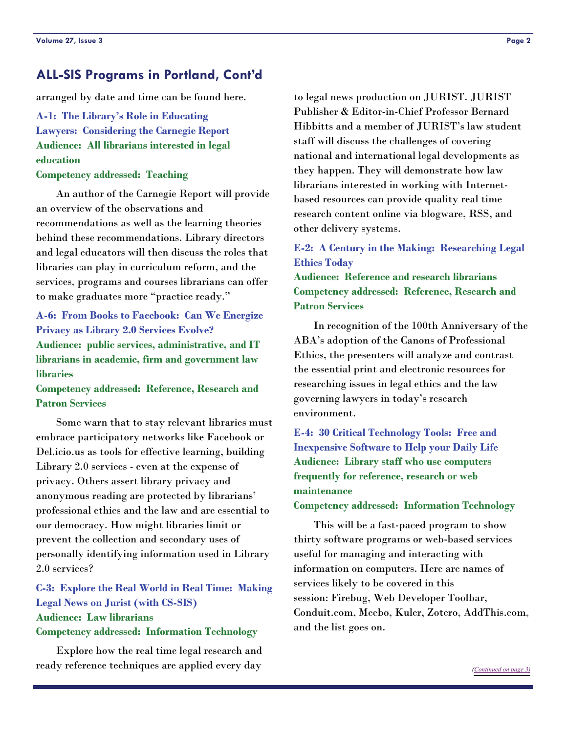#### <span id="page-1-0"></span>**ALL-SIS Programs in Portland, Cont'd**

arranged by date and time can be found here.

**A-1: The Library's Role in Educating Lawyers: Considering the Carnegie Report Audience: All librarians interested in legal education** 

#### **Competency addressed: Teaching**

 An author of the Carnegie Report will provide an overview of the observations and recommendations as well as the learning theories behind these recommendations. Library directors and legal educators will then discuss the roles that libraries can play in curriculum reform, and the services, programs and courses librarians can offer to make graduates more "practice ready."

#### **A-6: From Books to Facebook: Can We Energize Privacy as Library 2.0 Services Evolve? Audience: public services, administrative, and IT librarians in academic, firm and government law libraries**

**Competency addressed: Reference, Research and Patron Services**

 Some warn that to stay relevant libraries must embrace participatory networks like Facebook or Del.icio.us as tools for effective learning, building Library 2.0 services - even at the expense of privacy. Others assert library privacy and anonymous reading are protected by librarians' professional ethics and the law and are essential to our democracy. How might libraries limit or prevent the collection and secondary uses of personally identifying information used in Library 2.0 services?

#### **C-3: Explore the Real World in Real Time: Making Legal News on Jurist (with CS-SIS) Audience: Law librarians Competency addressed: Information Technology**

 Explore how the real time legal research and ready reference techniques are applied every day

to legal news production on JURIST. JURIST Publisher & Editor-in-Chief Professor Bernard Hibbitts and a member of JURIST's law student staff will discuss the challenges of covering national and international legal developments as they happen. They will demonstrate how law librarians interested in working with Internetbased resources can provide quality real time research content online via blogware, RSS, and other delivery systems.

#### **E-2: A Century in the Making: Researching Legal Ethics Today**

**Audience: Reference and research librarians Competency addressed: Reference, Research and Patron Services**

 In recognition of the 100th Anniversary of the ABA's adoption of the Canons of Professional Ethics, the presenters will analyze and contrast the essential print and electronic resources for researching issues in legal ethics and the law governing lawyers in today's research environment.

## **E-4: 30 Critical Technology Tools: Free and Inexpensive Software to Help your Daily Life Audience: Library staff who use computers frequently for reference, research or web maintenance**

#### **Competency addressed: Information Technology**

 This will be a fast-paced program to show thirty software programs or web-based services useful for managing and interacting with information on computers. Here are names of services likely to be covered in this session: Firebug, Web Developer Toolbar, Conduit.com, Meebo, Kuler, Zotero, AddThis.com, and the list goes on.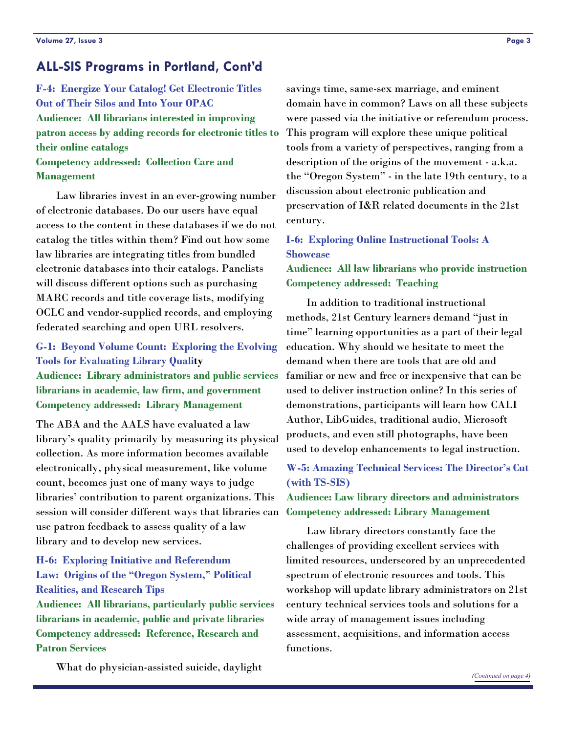## <span id="page-2-0"></span>**ALL-SIS Programs in Portland, Cont'd**

**F-4: Energize Your Catalog! Get Electronic Titles Out of Their Silos and Into Your OPAC Audience: All librarians interested in improving patron access by adding records for electronic titles to their online catalogs Competency addressed: Collection Care and** 

#### **Management**

 Law libraries invest in an ever-growing number of electronic databases. Do our users have equal access to the content in these databases if we do not catalog the titles within them? Find out how some law libraries are integrating titles from bundled electronic databases into their catalogs. Panelists will discuss different options such as purchasing MARC records and title coverage lists, modifying OCLC and vendor-supplied records, and employing federated searching and open URL resolvers.

#### **G-1: Beyond Volume Count: Exploring the Evolving Tools for Evaluating Library Quality**

**Audience: Library administrators and public services librarians in academic, law firm, and government Competency addressed: Library Management**

The ABA and the AALS have evaluated a law library's quality primarily by measuring its physical collection. As more information becomes available electronically, physical measurement, like volume count, becomes just one of many ways to judge libraries' contribution to parent organizations. This session will consider different ways that libraries can use patron feedback to assess quality of a law library and to develop new services.

#### **H-6: Exploring Initiative and Referendum Law: Origins of the "Oregon System," Political Realities, and Research Tips**

**Audience: All librarians, particularly public services librarians in academic, public and private libraries Competency addressed: Reference, Research and Patron Services** 

What do physician-assisted suicide, daylight

savings time, same-sex marriage, and eminent domain have in common? Laws on all these subjects were passed via the initiative or referendum process. This program will explore these unique political tools from a variety of perspectives, ranging from a description of the origins of the movement - a.k.a. the "Oregon System" - in the late 19th century, to a discussion about electronic publication and preservation of I&R related documents in the 21st century.

#### **I-6: Exploring Online Instructional Tools: A Showcase**

**Audience: All law librarians who provide instruction Competency addressed: Teaching** 

 In addition to traditional instructional methods, 21st Century learners demand "just in time" learning opportunities as a part of their legal education. Why should we hesitate to meet the demand when there are tools that are old and familiar or new and free or inexpensive that can be used to deliver instruction online? In this series of demonstrations, participants will learn how CALI Author, LibGuides, traditional audio, Microsoft products, and even still photographs, have been used to develop enhancements to legal instruction.

#### **W-5: Amazing Technical Services: The Director's Cut (with TS-SIS)**

**Audience: Law library directors and administrators Competency addressed: Library Management** 

 Law library directors constantly face the challenges of providing excellent services with limited resources, underscored by an unprecedented spectrum of electronic resources and tools. This workshop will update library administrators on 21st century technical services tools and solutions for a wide array of management issues including assessment, acquisitions, and information access functions.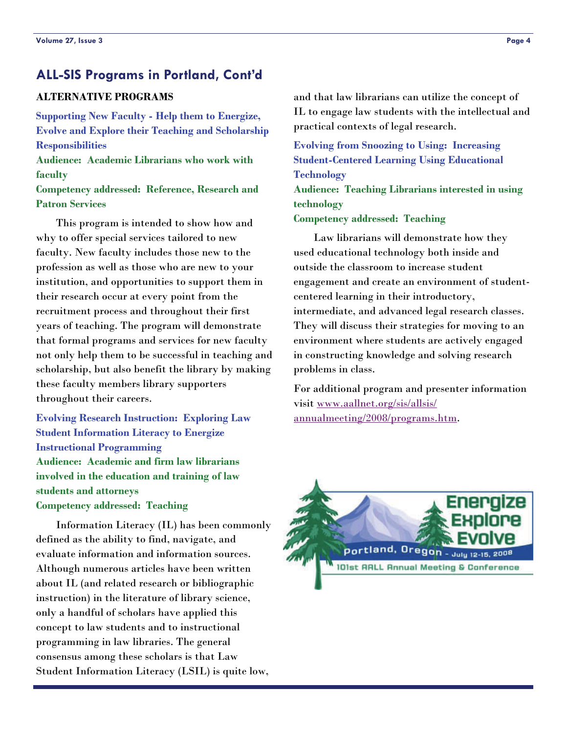# <span id="page-3-0"></span>**ALL-SIS Programs in Portland, Cont'd**

#### **ALTERNATIVE PROGRAMS**

**Supporting New Faculty - Help them to Energize, Evolve and Explore their Teaching and Scholarship Responsibilities Audience: Academic Librarians who work with faculty** 

**Competency addressed: Reference, Research and Patron Services**

 This program is intended to show how and why to offer special services tailored to new faculty. New faculty includes those new to the profession as well as those who are new to your institution, and opportunities to support them in their research occur at every point from the recruitment process and throughout their first years of teaching. The program will demonstrate that formal programs and services for new faculty not only help them to be successful in teaching and scholarship, but also benefit the library by making these faculty members library supporters throughout their careers.

**Evolving Research Instruction: Exploring Law Student Information Literacy to Energize Instructional Programming Audience: Academic and firm law librarians involved in the education and training of law students and attorneys Competency addressed: Teaching**

 Information Literacy (IL) has been commonly defined as the ability to find, navigate, and evaluate information and information sources. Although numerous articles have been written about IL (and related research or bibliographic instruction) in the literature of library science, only a handful of scholars have applied this concept to law students and to instructional programming in law libraries. The general consensus among these scholars is that Law Student Information Literacy (LSIL) is quite low,

and that law librarians can utilize the concept of IL to engage law students with the intellectual and practical contexts of legal research.

**Evolving from Snoozing to Using: Increasing Student-Centered Learning Using Educational Technology**

**Audience: Teaching Librarians interested in using technology** 

**Competency addressed: Teaching**

 Law librarians will demonstrate how they used educational technology both inside and outside the classroom to increase student engagement and create an environment of studentcentered learning in their introductory, intermediate, and advanced legal research classes. They will discuss their strategies for moving to an environment where students are actively engaged in constructing knowledge and solving research problems in class.

For additional program and presenter information visit [www.aallnet.org/sis/allsis/](http://www.aallnet.org/sis/allsis/annualmeeting/2008/programs.htm) [annualmeeting/2008/programs.htm](http://www.aallnet.org/sis/allsis/annualmeeting/2008/programs.htm).

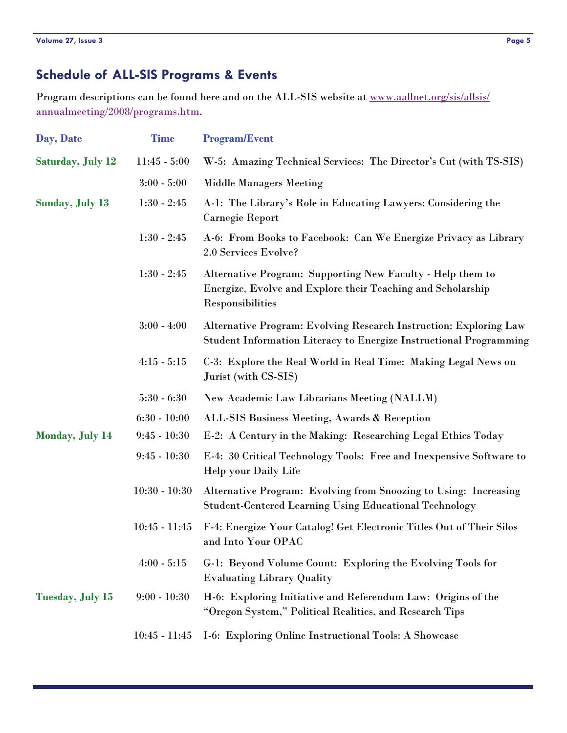# <span id="page-4-0"></span>**Schedule of ALL-SIS Programs & Events**

Program descriptions can be found here and on the ALL-SIS website at [www.aallnet.org/sis/allsis/](http://www.aallnet.org/sis/allsis/annualmeeting/2008/programs.htm) [annualmeeting/2008/programs.htm](http://www.aallnet.org/sis/allsis/annualmeeting/2008/programs.htm).

| Day, Date                                 | <b>Time</b>     | <b>Program/Event</b>                                                                                                                          |
|-------------------------------------------|-----------------|-----------------------------------------------------------------------------------------------------------------------------------------------|
| <b>Saturday, July 12</b>                  | $11:45 - 5:00$  | W-5: Amazing Technical Services: The Director's Cut (with TS-SIS)                                                                             |
|                                           | $3:00 - 5:00$   | <b>Middle Managers Meeting</b>                                                                                                                |
| <b>Sunday, July 13</b>                    | $1:30 - 2:45$   | A-1: The Library's Role in Educating Lawyers: Considering the<br><b>Carnegie Report</b>                                                       |
|                                           | $1:30 - 2:45$   | A-6: From Books to Facebook: Can We Energize Privacy as Library<br>2.0 Services Evolve?                                                       |
|                                           | $1:30 - 2:45$   | Alternative Program: Supporting New Faculty - Help them to<br>Energize, Evolve and Explore their Teaching and Scholarship<br>Responsibilities |
|                                           | $3:00 - 4:00$   | Alternative Program: Evolving Research Instruction: Exploring Law<br>Student Information Literacy to Energize Instructional Programming       |
|                                           | $4:15 - 5:15$   | C-3: Explore the Real World in Real Time: Making Legal News on<br>Jurist (with CS-SIS)                                                        |
|                                           | $5:30 - 6:30$   | New Academic Law Librarians Meeting (NALLM)                                                                                                   |
|                                           | $6:30 - 10:00$  | ALL-SIS Business Meeting, Awards & Reception                                                                                                  |
| <b>Monday, July 14</b>                    | $9:45 - 10:30$  | E-2: A Century in the Making: Researching Legal Ethics Today                                                                                  |
|                                           | $9:45 - 10:30$  | E-4: 30 Critical Technology Tools: Free and Inexpensive Software to<br>Help your Daily Life                                                   |
|                                           | $10:30 - 10:30$ | Alternative Program: Evolving from Snoozing to Using: Increasing<br><b>Student-Centered Learning Using Educational Technology</b>             |
|                                           | $10:45 - 11:45$ | F-4: Energize Your Catalog! Get Electronic Titles Out of Their Silos<br>and Into Your OPAC                                                    |
|                                           | $4:00 - 5:15$   | G-1: Beyond Volume Count: Exploring the Evolving Tools for<br><b>Evaluating Library Quality</b>                                               |
| <b>Tuesday, July 15</b><br>$9:00 - 10:30$ |                 | H-6: Exploring Initiative and Referendum Law: Origins of the<br>"Oregon System," Political Realities, and Research Tips                       |
|                                           | $10:45 - 11:45$ | I-6: Exploring Online Instructional Tools: A Showcase                                                                                         |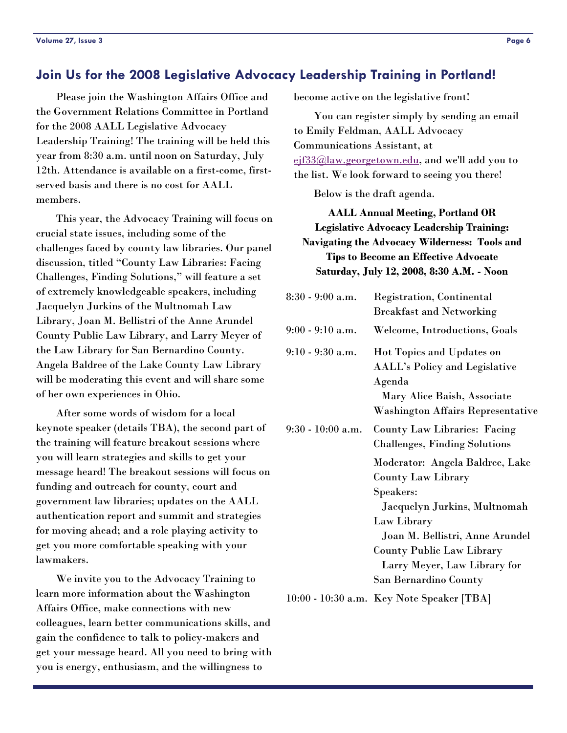#### <span id="page-5-0"></span>**Join Us for the 2008 Legislative Advocacy Leadership Training in Portland!**

 Please join the Washington Affairs Office and the Government Relations Committee in Portland for the 2008 AALL Legislative Advocacy Leadership Training! The training will be held this year from 8:30 a.m. until noon on Saturday, July 12th. Attendance is available on a first-come, firstserved basis and there is no cost for AALL members.

 This year, the Advocacy Training will focus on crucial state issues, including some of the challenges faced by county law libraries. Our panel discussion, titled "County Law Libraries: Facing Challenges, Finding Solutions," will feature a set of extremely knowledgeable speakers, including Jacquelyn Jurkins of the Multnomah Law Library, Joan M. Bellistri of the Anne Arundel County Public Law Library, and Larry Meyer of the Law Library for San Bernardino County. Angela Baldree of the Lake County Law Library will be moderating this event and will share some of her own experiences in Ohio.

 After some words of wisdom for a local keynote speaker (details TBA), the second part of the training will feature breakout sessions where you will learn strategies and skills to get your message heard! The breakout sessions will focus on funding and outreach for county, court and government law libraries; updates on the AALL authentication report and summit and strategies for moving ahead; and a role playing activity to get you more comfortable speaking with your lawmakers.

 We invite you to the Advocacy Training to learn more information about the Washington Affairs Office, make connections with new colleagues, learn better communications skills, and gain the confidence to talk to policy-makers and get your message heard. All you need to bring with you is energy, enthusiasm, and the willingness to

become active on the legislative front!

 You can register simply by sending an email to Emily Feldman, AALL Advocacy Communications Assistant, at [ejf33@law.georgetown.edu](mailto:ejf33@law.georgetown.edu), and we'll add you to the list. We look forward to seeing you there!

Below is the draft agenda.

**AALL Annual Meeting, Portland OR Legislative Advocacy Leadership Training: Navigating the Advocacy Wilderness: Tools and Tips to Become an Effective Advocate Saturday, July 12, 2008, 8:30 A.M. - Noon** 

| $8:30 - 9:00$ a.m.  | Registration, Continental<br><b>Breakfast and Networking</b>                                                                                                  |
|---------------------|---------------------------------------------------------------------------------------------------------------------------------------------------------------|
| $9:00 - 9:10$ a.m.  | Welcome, Introductions, Goals                                                                                                                                 |
| $9:10 - 9:30$ a.m.  | <b>Hot Topics and Updates on</b><br><b>AALL's Policy and Legislative</b><br>Agenda<br>Mary Alice Baish, Associate<br><b>Washington Affairs Representative</b> |
| $9:30 - 10:00$ a.m. | <b>County Law Libraries: Facing</b><br><b>Challenges, Finding Solutions</b>                                                                                   |
|                     | Moderator: Angela Baldree, Lake<br><b>County Law Library</b><br>Speakers:                                                                                     |
|                     | Jacquelyn Jurkins, Multnomah<br>Law Library<br>Joan M. Bellistri, Anne Arundel                                                                                |
|                     | <b>County Public Law Library</b><br>Larry Meyer, Law Library for                                                                                              |
|                     | San Bernardino County                                                                                                                                         |

10:00 - 10:30 a.m. Key Note Speaker [TBA]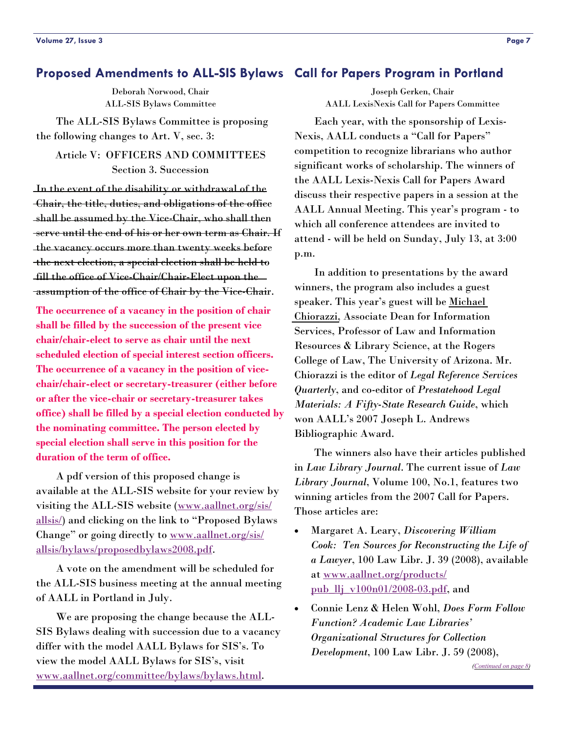## <span id="page-6-0"></span>**Proposed Amendments to ALL-SIS Bylaws Call for Papers Program in Portland**

Deborah Norwood, Chair ALL-SIS Bylaws Committee

 The ALL-SIS Bylaws Committee is proposing the following changes to Art. V, sec. 3:

Article V: OFFICERS AND COMMITTEES Section 3. Succession

In the event of the disability or withdrawal of the Chair, the title, duties, and obligations of the office shall be assumed by the Vice-Chair, who shall then serve until the end of his or her own term as Chair. If the vacancy occurs more than twenty weeks before the next election, a special election shall be held to fill the office of Vice-Chair/Chair-Elect upon the assumption of the office of Chair by the Vice-Chair.

**The occurrence of a vacancy in the position of chair shall be filled by the succession of the present vice chair/chair-elect to serve as chair until the next scheduled election of special interest section officers. The occurrence of a vacancy in the position of vicechair/chair-elect or secretary-treasurer (either before or after the vice-chair or secretary-treasurer takes office) shall be filled by a special election conducted by the nominating committee. The person elected by special election shall serve in this position for the duration of the term of office.** 

 A pdf version of this proposed change is available at the ALL-SIS website for your review by visiting the ALL-SIS website ([www.aallnet.org/sis/](http://www.aallnet.org/sis/allsis/) [allsis/](http://www.aallnet.org/sis/allsis/)) and clicking on the link to "Proposed Bylaws Change" or going directly to [www.aallnet.org/sis/](http://www.aallnet.org/sis/allsis/bylaws/proposedbylaws2008.pdf) [allsis/bylaws/proposedbylaws2008.pdf](http://www.aallnet.org/sis/allsis/bylaws/proposedbylaws2008.pdf).

 A vote on the amendment will be scheduled for the ALL-SIS business meeting at the annual meeting of AALL in Portland in July.

 We are proposing the change because the ALL-SIS Bylaws dealing with succession due to a vacancy differ with the model AALL Bylaws for SIS's. To view the model AALL Bylaws for SIS's, visit [www.aallnet.org/committee/bylaws/bylaws.html](http://www.aallnet.org/committee/bylaws/bylaws.html).

Joseph Gerken, Chair AALL LexisNexis Call for Papers Committee

 Each year, with the sponsorship of Lexis-Nexis, AALL conducts a "Call for Papers" competition to recognize librarians who author significant works of scholarship. The winners of the AALL Lexis-Nexis Call for Papers Award discuss their respective papers in a session at the AALL Annual Meeting. This year's program - to which all conference attendees are invited to attend - will be held on Sunday, July 13, at 3:00 p.m.

 In addition to presentations by the award winners, the program also includes a guest speaker. This year's guest will be [Michael](http://www.law.arizona.edu/Faculty/getprofile.cfm?facultyid=26)  [Chiorazzi,](http://www.law.arizona.edu/Faculty/getprofile.cfm?facultyid=26) Associate Dean for Information Services, Professor of Law and Information Resources & Library Science, at the Rogers College of Law, The University of Arizona. Mr. Chiorazzi is the editor of *Legal Reference Services Quarterly*, and co-editor of *Prestatehood Legal Materials: A Fifty-State Research Guide*, which won AALL's 2007 Joseph L. Andrews Bibliographic Award.

 The winners also have their articles published in *Law Library Journal*. The current issue of *Law Library Journal*, Volume 100, No.1, features two winning articles from the 2007 Call for Papers. Those articles are:

- Margaret A. Leary, *Discovering William Cook: Ten Sources for Reconstructing the Life of a Lawyer*, 100 Law Libr. J. 39 (2008), available at [www.aallnet.org/products/](http://www.aallnet.org/products/pub_llj_v100n01/2008-03.pdf) [pub\\_llj\\_v100n01/2008-03.pdf](http://www.aallnet.org/products/pub_llj_v100n01/2008-03.pdf), and
- Connie Lenz & Helen Wohl, *Does Form Follow Function? Academic Law Libraries' Organizational Structures for Collection Development*, 100 Law Libr. J. 59 (2008),

*([Continued on page 8\)](#page-7-0)*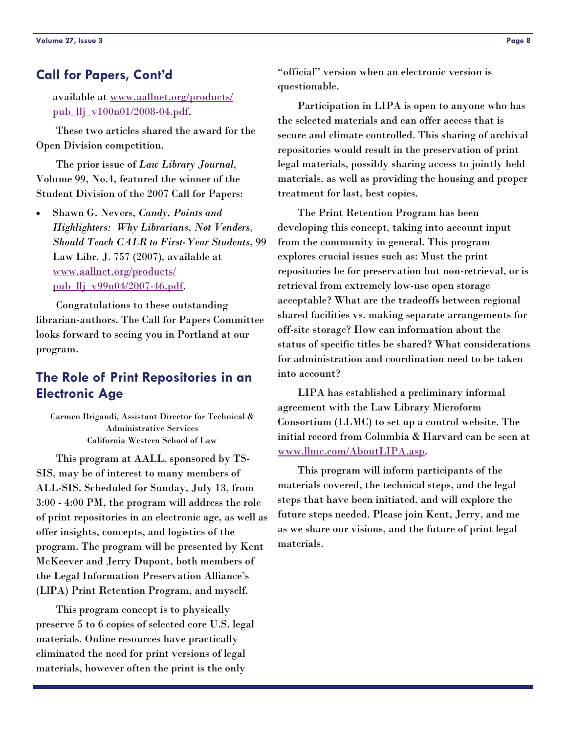#### <span id="page-7-0"></span>**Call for Papers, Cont'd**

available at [www.aallnet.org/products/](http://www.aallnet.org/products/pub_llj_v100n01/2008-04.pdf) [pub\\_llj\\_v100n01/2008-04.pdf](http://www.aallnet.org/products/pub_llj_v100n01/2008-04.pdf).

 These two articles shared the award for the Open Division competition.

 The prior issue of *Law Library Journal*, Volume 99, No.4, featured the winner of the Student Division of the 2007 Call for Papers:

• Shawn G. Nevers, *Candy, Points and Highlighters: Why Librarians, Not Venders, Should Teach CALR to First-Year Students*, 99 Law Libr. J. 757 (2007), available at [www.aallnet.org/products/](http://www.aallnet.org/products/pub_llj_v99n04/2007-46.pdf) pub  $ll$ j  $v99n04/2007-46.pdf$ .

 Congratulations to these outstanding librarian-authors. The Call for Papers Committee looks forward to seeing you in Portland at our program.

# **The Role of Print Repositories in an Electronic Age**

Carmen Brigandi, Assistant Director for Technical & Administrative Services California Western School of Law

 This program at AALL, sponsored by TS-SIS, may be of interest to many members of ALL-SIS. Scheduled for Sunday, July 13, from 3:00 - 4:00 PM, the program will address the role of print repositories in an electronic age, as well as offer insights, concepts, and logistics of the program. The program will be presented by Kent McKeever and Jerry Dupont, both members of the Legal Information Preservation Alliance's (LlPA) Print Retention Program, and myself.

 This program concept is to physically preserve 5 to 6 copies of selected core U.S. legal materials. Online resources have practically eliminated the need for print versions of legal materials, however often the print is the only

"official" version when an electronic version is questionable.

 Participation in LIPA is open to anyone who has the selected materials and can offer access that is secure and climate controlled. This sharing of archival repositories would result in the preservation of print legal materials, possibly sharing access to jointly held materials, as well as providing the housing and proper treatment for last, best copies.

 The Print Retention Program has been developing this concept, taking into account input from the community in general. This program explores crucial issues such as: Must the print repositories be for preservation but non-retrieval, or is retrieval from extremely low-use open storage acceptable? What are the tradeoffs between regional shared facilities vs. making separate arrangements for off-site storage? How can information about the status of specific titles be shared? What considerations for administration and coordination need to be taken into account?

 LIPA has established a preliminary informal agreement with the Law Library Microform Consortium (LLMC) to set up a control website. The initial record from Columbia & Harvard can be seen at [www.llmc.com/AboutLIPA.asp](http://www.llmc.com/AboutLIPA.asp).

 This program will inform participants of the materials covered, the technical steps, and the legal steps that have been initiated, and will explore the future steps needed. Please join Kent, Jerry, and me as we share our visions, and the future of print legal materials.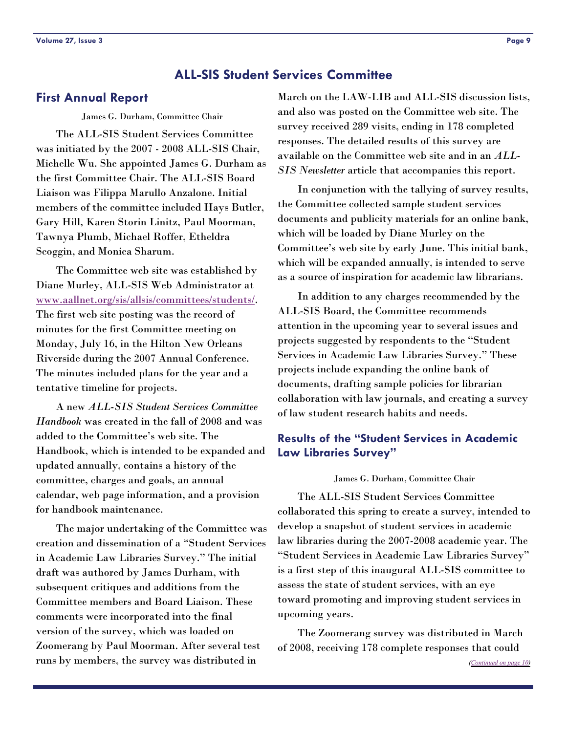#### **ALL-SIS Student Services Committee**

James G. Durham, Committee Chair

 The ALL-SIS Student Services Committee was initiated by the 2007 - 2008 ALL-SIS Chair, Michelle Wu. She appointed James G. Durham as the first Committee Chair. The ALL-SIS Board Liaison was Filippa Marullo Anzalone. Initial members of the committee included Hays Butler, Gary Hill, Karen Storin Linitz, Paul Moorman, Tawnya Plumb, Michael Roffer, Etheldra Scoggin, and Monica Sharum.

 The Committee web site was established by Diane Murley, ALL-SIS Web Administrator at [www.aallnet.org/sis/allsis/committees/students/](http://www.aallnet.org/sis/allsis/committees/students/index.asp). The first web site posting was the record of minutes for the first Committee meeting on Monday, July 16, in the Hilton New Orleans Riverside during the 2007 Annual Conference. The minutes included plans for the year and a tentative timeline for projects.

 A new *ALL-SIS Student Services Committee Handbook* was created in the fall of 2008 and was added to the Committee's web site. The Handbook, which is intended to be expanded and updated annually, contains a history of the committee, charges and goals, an annual calendar, web page information, and a provision for handbook maintenance.

 The major undertaking of the Committee was creation and dissemination of a "Student Services in Academic Law Libraries Survey." The initial draft was authored by James Durham, with subsequent critiques and additions from the Committee members and Board Liaison. These comments were incorporated into the final version of the survey, which was loaded on Zoomerang by Paul Moorman. After several test runs by members, the survey was distributed in

<span id="page-8-0"></span>**First Annual Report** March on the LAW-LIB and ALL-SIS discussion lists, and also was posted on the Committee web site. The survey received 289 visits, ending in 178 completed responses. The detailed results of this survey are available on the Committee web site and in an *ALL-SIS Newsletter* article that accompanies this report.

> In conjunction with the tallying of survey results, the Committee collected sample student services documents and publicity materials for an online bank, which will be loaded by Diane Murley on the Committee's web site by early June. This initial bank, which will be expanded annually, is intended to serve as a source of inspiration for academic law librarians.

> In addition to any charges recommended by the ALL-SIS Board, the Committee recommends attention in the upcoming year to several issues and projects suggested by respondents to the "Student Services in Academic Law Libraries Survey." These projects include expanding the online bank of documents, drafting sample policies for librarian collaboration with law journals, and creating a survey of law student research habits and needs.

#### **Results of the "Student Services in Academic Law Libraries Survey"**

James G. Durham, Committee Chair

 The ALL-SIS Student Services Committee collaborated this spring to create a survey, intended to develop a snapshot of student services in academic law libraries during the 2007-2008 academic year. The "Student Services in Academic Law Libraries Survey" is a first step of this inaugural ALL-SIS committee to assess the state of student services, with an eye toward promoting and improving student services in upcoming years.

 The Zoomerang survey was distributed in March of 2008, receiving 178 complete responses that could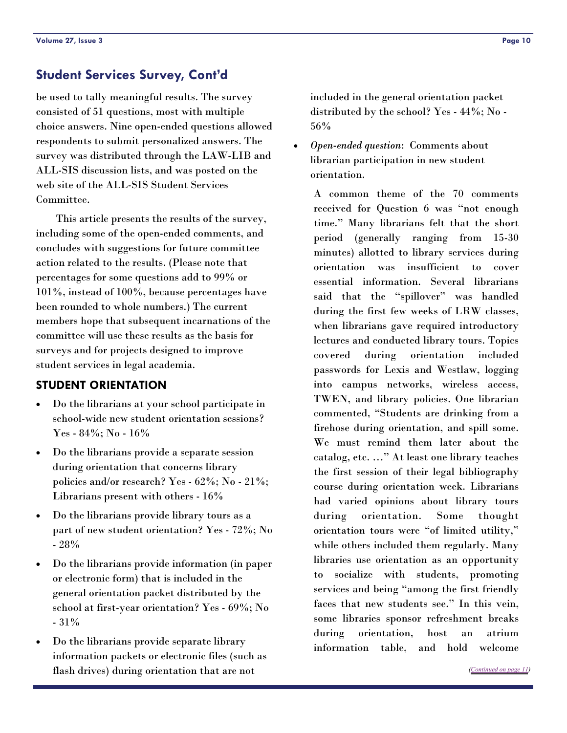<span id="page-9-0"></span>be used to tally meaningful results. The survey consisted of 51 questions, most with multiple choice answers. Nine open-ended questions allowed respondents to submit personalized answers. The survey was distributed through the LAW-LIB and ALL-SIS discussion lists, and was posted on the web site of the ALL-SIS Student Services Committee.

 This article presents the results of the survey, including some of the open-ended comments, and concludes with suggestions for future committee action related to the results. (Please note that percentages for some questions add to 99% or 101%, instead of 100%, because percentages have been rounded to whole numbers.) The current members hope that subsequent incarnations of the committee will use these results as the basis for surveys and for projects designed to improve student services in legal academia.

#### **STUDENT ORIENTATION**

- Do the librarians at your school participate in school-wide new student orientation sessions? Yes - 84%; No - 16%
- Do the librarians provide a separate session during orientation that concerns library policies and/or research? Yes - 62%; No - 21%; Librarians present with others - 16%
- Do the librarians provide library tours as a part of new student orientation? Yes - 72%; No - 28%
- Do the librarians provide information (in paper or electronic form) that is included in the general orientation packet distributed by the school at first-year orientation? Yes - 69%; No - 31%
- Do the librarians provide separate library information packets or electronic files (such as flash drives) during orientation that are not

included in the general orientation packet distributed by the school? Yes - 44%; No - 56%

• *Open-ended question*: Comments about librarian participation in new student orientation.

> A common theme of the 70 comments received for Question 6 was "not enough time." Many librarians felt that the short period (generally ranging from 15-30 minutes) allotted to library services during orientation was insufficient to cover essential information. Several librarians said that the "spillover" was handled during the first few weeks of LRW classes, when librarians gave required introductory lectures and conducted library tours. Topics covered during orientation included passwords for Lexis and Westlaw, logging into campus networks, wireless access, TWEN, and library policies. One librarian commented, "Students are drinking from a firehose during orientation, and spill some. We must remind them later about the catalog, etc. …" At least one library teaches the first session of their legal bibliography course during orientation week. Librarians had varied opinions about library tours during orientation. Some thought orientation tours were "of limited utility," while others included them regularly. Many libraries use orientation as an opportunity to socialize with students, promoting services and being "among the first friendly faces that new students see." In this vein, some libraries sponsor refreshment breaks during orientation, host an atrium information table, and hold welcome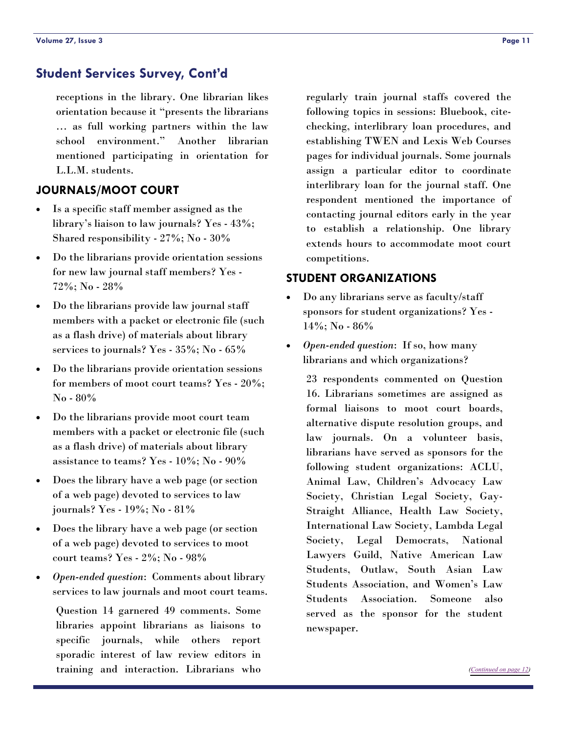<span id="page-10-0"></span>receptions in the library. One librarian likes orientation because it "presents the librarians … as full working partners within the law school environment." Another librarian mentioned participating in orientation for L.L.M. students.

#### **JOURNALS/MOOT COURT**

- Is a specific staff member assigned as the library's liaison to law journals? Yes - 43%; Shared responsibility - 27%; No - 30%
- Do the librarians provide orientation sessions for new law journal staff members? Yes - 72%; No - 28%
- Do the librarians provide law journal staff members with a packet or electronic file (such as a flash drive) of materials about library services to journals? Yes - 35%; No - 65%
- Do the librarians provide orientation sessions for members of moot court teams? Yes - 20%; No - 80%
- Do the librarians provide moot court team members with a packet or electronic file (such as a flash drive) of materials about library assistance to teams? Yes - 10%; No - 90%
- Does the library have a web page (or section of a web page) devoted to services to law journals? Yes - 19%; No - 81%
- Does the library have a web page (or section of a web page) devoted to services to moot court teams? Yes - 2%; No - 98%
- *Open-ended question*: Comments about library services to law journals and moot court teams.

Question 14 garnered 49 comments. Some libraries appoint librarians as liaisons to specific journals, while others report sporadic interest of law review editors in training and interaction. Librarians who

regularly train journal staffs covered the following topics in sessions: Bluebook, citechecking, interlibrary loan procedures, and establishing TWEN and Lexis Web Courses pages for individual journals. Some journals assign a particular editor to coordinate interlibrary loan for the journal staff. One respondent mentioned the importance of contacting journal editors early in the year to establish a relationship. One library extends hours to accommodate moot court competitions.

#### **STUDENT ORGANIZATIONS**

- Do any librarians serve as faculty/staff sponsors for student organizations? Yes - 14%; No - 86%
- *Open-ended question*: If so, how many librarians and which organizations?

23 respondents commented on Question 16. Librarians sometimes are assigned as formal liaisons to moot court boards, alternative dispute resolution groups, and law journals. On a volunteer basis, librarians have served as sponsors for the following student organizations: ACLU, Animal Law, Children's Advocacy Law Society, Christian Legal Society, Gay-Straight Alliance, Health Law Society, International Law Society, Lambda Legal Society, Legal Democrats, National Lawyers Guild, Native American Law Students, Outlaw, South Asian Law Students Association, and Women's Law Students Association. Someone also served as the sponsor for the student newspaper.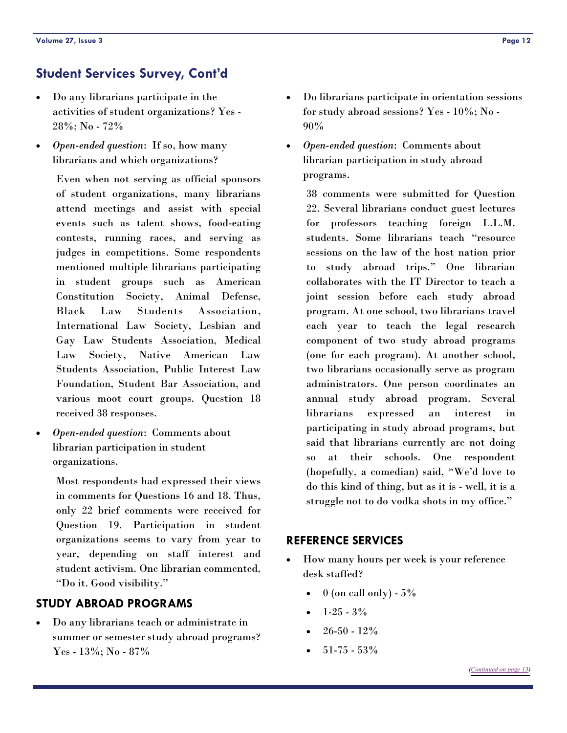- <span id="page-11-0"></span>• Do any librarians participate in the activities of student organizations? Yes - 28%; No - 72%
- *Open-ended question*: If so, how many librarians and which organizations?

Even when not serving as official sponsors of student organizations, many librarians attend meetings and assist with special events such as talent shows, food-eating contests, running races, and serving as judges in competitions. Some respondents mentioned multiple librarians participating in student groups such as American Constitution Society, Animal Defense, Black Law Students Association, International Law Society, Lesbian and Gay Law Students Association, Medical Law Society, Native American Law Students Association, Public Interest Law Foundation, Student Bar Association, and various moot court groups. Question 18 received 38 responses.

• *Open-ended question*: Comments about librarian participation in student organizations.

> Most respondents had expressed their views in comments for Questions 16 and 18. Thus, only 22 brief comments were received for Question 19. Participation in student organizations seems to vary from year to year, depending on staff interest and student activism. One librarian commented, "Do it. Good visibility."

## **STUDY ABROAD PROGRAMS**

• Do any librarians teach or administrate in summer or semester study abroad programs? Yes - 13%; No - 87%

- Do librarians participate in orientation sessions for study abroad sessions? Yes - 10%; No - 90%
- *Open-ended question*: Comments about librarian participation in study abroad programs.

38 comments were submitted for Question 22. Several librarians conduct guest lectures for professors teaching foreign L.L.M. students. Some librarians teach "resource sessions on the law of the host nation prior to study abroad trips." One librarian collaborates with the IT Director to teach a joint session before each study abroad program. At one school, two librarians travel each year to teach the legal research component of two study abroad programs (one for each program). At another school, two librarians occasionally serve as program administrators. One person coordinates an annual study abroad program. Several librarians expressed an interest in participating in study abroad programs, but said that librarians currently are not doing so at their schools. One respondent (hopefully, a comedian) said, "We'd love to do this kind of thing, but as it is - well, it is a struggle not to do vodka shots in my office."

#### **REFERENCE SERVICES**

- How many hours per week is your reference desk staffed?
	- $0$  (on call only)  $5\%$
	- $1-25-3%$
	- $26-50 12%$
	- $51-75-53%$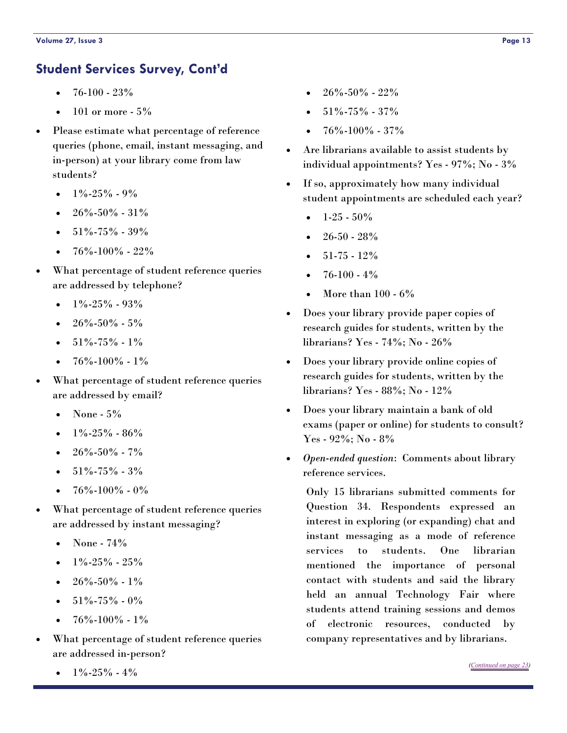- <span id="page-12-0"></span> $\bullet$  76-100 - 23%
- 101 or more  $5%$
- Please estimate what percentage of reference queries (phone, email, instant messaging, and in-person) at your library come from law students?
	- $1\% 25\% 9\%$
	- $26\% 50\% 31\%$
	- $\bullet$  51%-75% 39%
	- 76%-100% 22%
- What percentage of student reference queries are addressed by telephone?
	- $\bullet$  1%-25% 93%
	- $26\% 50\% 5\%$
	- $51\% 75\% 1\%$
	- 76%-100% 1%
- What percentage of student reference queries are addressed by email?
	- None  $5\%$
	- $\bullet$  1%-25% 86%
	- $26\% 50\% 7\%$
	- $51\% 75\% 3\%$
	- $76\% 100\% 0\%$
- What percentage of student reference queries are addressed by instant messaging?
	- None  $74\%$
	- $\bullet$  1%-25% 25%
	- $26\% 50\% 1\%$
	- $51\% 75\% 0\%$
	- $76\% 100\% 1\%$
- What percentage of student reference queries are addressed in-person?
	- $1\% 25\% 4\%$
- 26%-50% 22%
- 51%-75% 37%
- $76\% 100\% 37\%$
- Are librarians available to assist students by individual appointments? Yes - 97%; No - 3%
- If so, approximately how many individual student appointments are scheduled each year?
	- $1-25-50%$
	- $26-50 28%$
	- 51-75 12%
	- 76-100 4%
	- More than  $100 6\%$
- Does your library provide paper copies of research guides for students, written by the librarians? Yes - 74%; No - 26%
- Does your library provide online copies of research guides for students, written by the librarians? Yes - 88%; No - 12%
- Does your library maintain a bank of old exams (paper or online) for students to consult? Yes - 92%; No - 8%
- *Open-ended question*: Comments about library reference services.

Only 15 librarians submitted comments for Question 34. Respondents expressed an interest in exploring (or expanding) chat and instant messaging as a mode of reference services to students. One librarian mentioned the importance of personal contact with students and said the library held an annual Technology Fair where students attend training sessions and demos of electronic resources, conducted by company representatives and by librarians.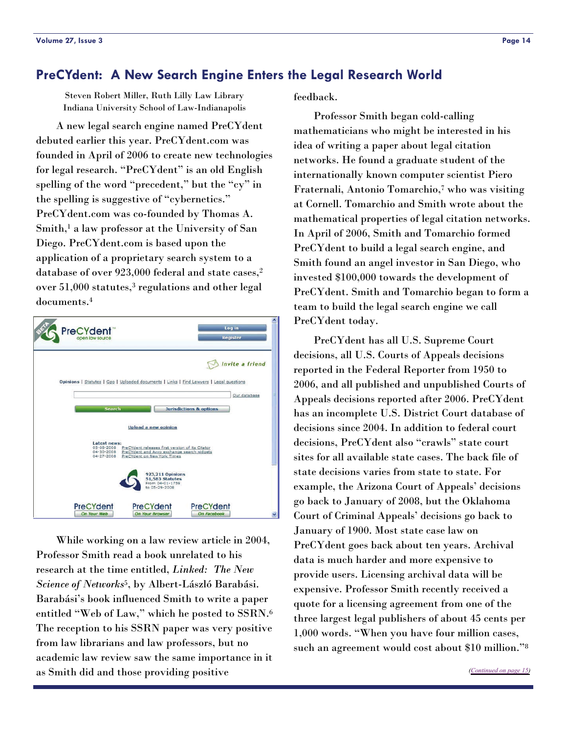#### <span id="page-13-0"></span>**PreCYdent: A New Search Engine Enters the Legal Research World**

Steven Robert Miller, Ruth Lilly Law Library Indiana University School of Law-Indianapolis

 A new legal search engine named PreCYdent debuted earlier this year. PreCYdent.com was founded in April of 2006 to create new technologies for legal research. "PreCYdent" is an old English spelling of the word "precedent," but the "cy" in the spelling is suggestive of "cybernetics." PreCYdent.com was co-founded by Thomas A. Smith,<sup>1</sup> a law professor at the University of San Diego. PreCYdent.com is based upon the application of a proprietary search system to a database of over 923,000 federal and state cases,2 over 51,000 statutes,3 regulations and other legal documents.4



 While working on a law review article in 2004, Professor Smith read a book unrelated to his research at the time entitled, *Linked: The New Science of Networks*5, by Albert-László Barabási. Barabási's book influenced Smith to write a paper entitled "Web of Law," which he posted to SSRN.6 The reception to his SSRN paper was very positive from law librarians and law professors, but no academic law review saw the same importance in it as Smith did and those providing positive

feedback.

 Professor Smith began cold-calling mathematicians who might be interested in his idea of writing a paper about legal citation networks. He found a graduate student of the internationally known computer scientist Piero Fraternali, Antonio Tomarchio,7 who was visiting at Cornell. Tomarchio and Smith wrote about the mathematical properties of legal citation networks. In April of 2006, Smith and Tomarchio formed PreCYdent to build a legal search engine, and Smith found an angel investor in San Diego, who invested \$100,000 towards the development of PreCYdent. Smith and Tomarchio began to form a team to build the legal search engine we call PreCYdent today.

 PreCYdent has all U.S. Supreme Court decisions, all U.S. Courts of Appeals decisions reported in the Federal Reporter from 1950 to 2006, and all published and unpublished Courts of Appeals decisions reported after 2006. PreCYdent has an incomplete U.S. District Court database of decisions since 2004. In addition to federal court decisions, PreCYdent also "crawls" state court sites for all available state cases. The back file of state decisions varies from state to state. For example, the Arizona Court of Appeals' decisions go back to January of 2008, but the Oklahoma Court of Criminal Appeals' decisions go back to January of 1900. Most state case law on PreCYdent goes back about ten years. Archival data is much harder and more expensive to provide users. Licensing archival data will be expensive. Professor Smith recently received a quote for a licensing agreement from one of the three largest legal publishers of about 45 cents per 1,000 words. "When you have four million cases, such an agreement would cost about \$10 million."8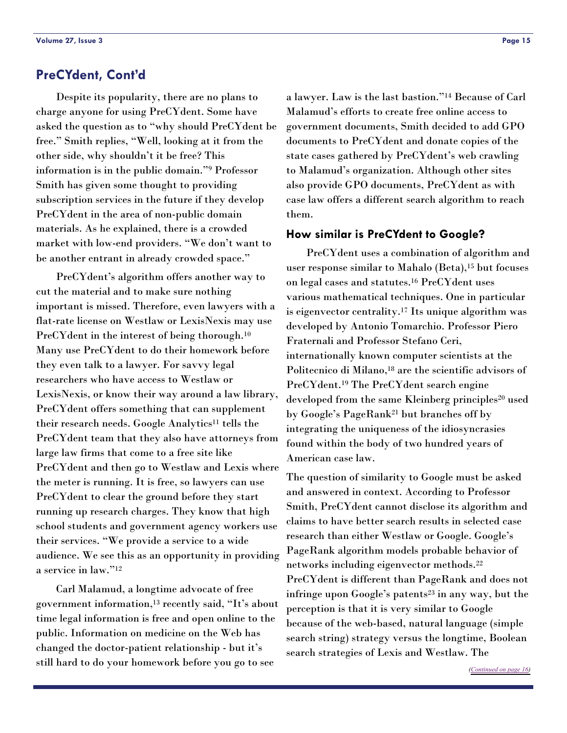<span id="page-14-0"></span> Despite its popularity, there are no plans to charge anyone for using PreCYdent. Some have asked the question as to "why should PreCYdent be free." Smith replies, "Well, looking at it from the other side, why shouldn't it be free? This information is in the public domain."9 Professor Smith has given some thought to providing subscription services in the future if they develop PreCYdent in the area of non-public domain materials. As he explained, there is a crowded market with low-end providers. "We don't want to be another entrant in already crowded space."

 PreCYdent's algorithm offers another way to cut the material and to make sure nothing important is missed. Therefore, even lawyers with a flat-rate license on Westlaw or LexisNexis may use PreCYdent in the interest of being thorough.10 Many use PreCYdent to do their homework before they even talk to a lawyer. For savvy legal researchers who have access to Westlaw or LexisNexis, or know their way around a law library, PreCYdent offers something that can supplement their research needs. Google Analytics11 tells the PreCYdent team that they also have attorneys from large law firms that come to a free site like PreCYdent and then go to Westlaw and Lexis where the meter is running. It is free, so lawyers can use PreCYdent to clear the ground before they start running up research charges. They know that high school students and government agency workers use their services. "We provide a service to a wide audience. We see this as an opportunity in providing a service in law."12

 Carl Malamud, a longtime advocate of free government information,13 recently said, "It's about time legal information is free and open online to the public. Information on medicine on the Web has changed the doctor-patient relationship - but it's still hard to do your homework before you go to see

a lawyer. Law is the last bastion."14 Because of Carl Malamud's efforts to create free online access to government documents, Smith decided to add GPO documents to PreCYdent and donate copies of the state cases gathered by PreCYdent's web crawling to Malamud's organization. Although other sites also provide GPO documents, PreCYdent as with case law offers a different search algorithm to reach them.

#### **How similar is PreCYdent to Google?**

 PreCYdent uses a combination of algorithm and user response similar to Mahalo (Beta),15 but focuses on legal cases and statutes.16 PreCYdent uses various mathematical techniques. One in particular is eigenvector centrality.17 Its unique algorithm was developed by Antonio Tomarchio. Professor Piero Fraternali and Professor Stefano Ceri, internationally known computer scientists at the Politecnico di Milano,18 are the scientific advisors of PreCYdent.19 The PreCYdent search engine developed from the same Kleinberg principles<sup>20</sup> used by Google's PageRank21 but branches off by integrating the uniqueness of the idiosyncrasies found within the body of two hundred years of American case law.

The question of similarity to Google must be asked and answered in context. According to Professor Smith, PreCYdent cannot disclose its algorithm and claims to have better search results in selected case research than either Westlaw or Google. Google's PageRank algorithm models probable behavior of networks including eigenvector methods.22 PreCYdent is different than PageRank and does not infringe upon Google's patents<sup>23</sup> in any way, but the perception is that it is very similar to Google because of the web-based, natural language (simple search string) strategy versus the longtime, Boolean search strategies of Lexis and Westlaw. The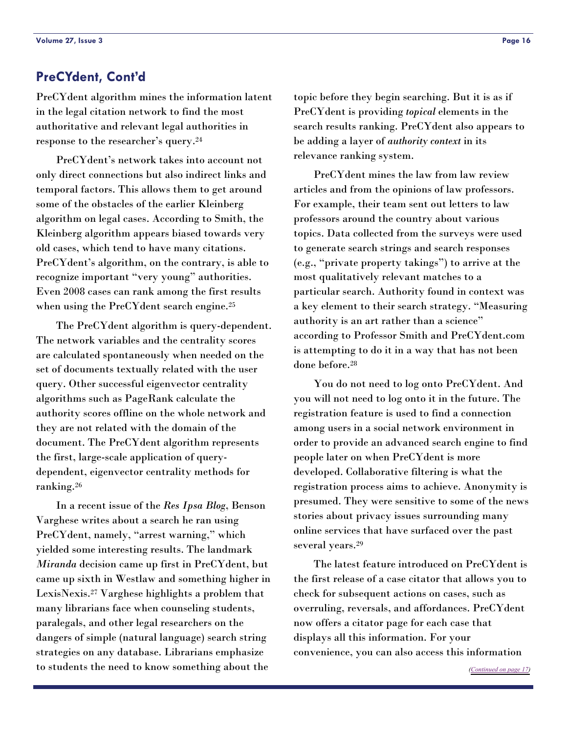<span id="page-15-0"></span>PreCYdent algorithm mines the information latent in the legal citation network to find the most authoritative and relevant legal authorities in response to the researcher's query.24

 PreCYdent's network takes into account not only direct connections but also indirect links and temporal factors. This allows them to get around some of the obstacles of the earlier Kleinberg algorithm on legal cases. According to Smith, the Kleinberg algorithm appears biased towards very old cases, which tend to have many citations. PreCYdent's algorithm, on the contrary, is able to recognize important "very young" authorities. Even 2008 cases can rank among the first results when using the PreCY dent search engine.<sup>25</sup>

 The PreCYdent algorithm is query-dependent. The network variables and the centrality scores are calculated spontaneously when needed on the set of documents textually related with the user query. Other successful eigenvector centrality algorithms such as PageRank calculate the authority scores offline on the whole network and they are not related with the domain of the document. The PreCYdent algorithm represents the first, large-scale application of querydependent, eigenvector centrality methods for ranking.26

 In a recent issue of the *Res Ipsa Blog*, Benson Varghese writes about a search he ran using PreCYdent, namely, "arrest warning," which yielded some interesting results. The landmark *Miranda* decision came up first in PreCYdent, but came up sixth in Westlaw and something higher in LexisNexis.27 Varghese highlights a problem that many librarians face when counseling students, paralegals, and other legal researchers on the dangers of simple (natural language) search string strategies on any database. Librarians emphasize to students the need to know something about the

topic before they begin searching. But it is as if PreCYdent is providing *topical* elements in the search results ranking. PreCYdent also appears to be adding a layer of *authority context* in its relevance ranking system.

 PreCYdent mines the law from law review articles and from the opinions of law professors. For example, their team sent out letters to law professors around the country about various topics. Data collected from the surveys were used to generate search strings and search responses (e.g., "private property takings") to arrive at the most qualitatively relevant matches to a particular search. Authority found in context was a key element to their search strategy. "Measuring authority is an art rather than a science" according to Professor Smith and PreCYdent.com is attempting to do it in a way that has not been done before.28

 You do not need to log onto PreCYdent. And you will not need to log onto it in the future. The registration feature is used to find a connection among users in a social network environment in order to provide an advanced search engine to find people later on when PreCYdent is more developed. Collaborative filtering is what the registration process aims to achieve. Anonymity is presumed. They were sensitive to some of the news stories about privacy issues surrounding many online services that have surfaced over the past several years.29

 The latest feature introduced on PreCYdent is the first release of a case citator that allows you to check for subsequent actions on cases, such as overruling, reversals, and affordances. PreCYdent now offers a citator page for each case that displays all this information. For your convenience, you can also access this information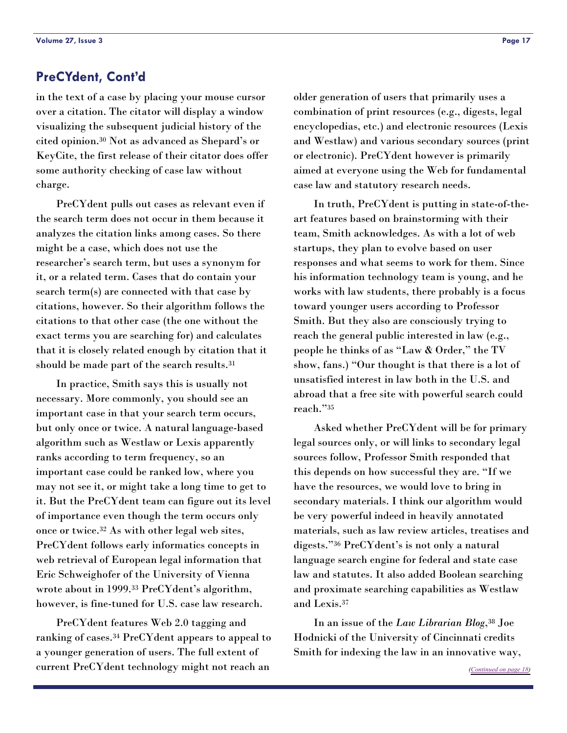<span id="page-16-0"></span>in the text of a case by placing your mouse cursor over a citation. The citator will display a window visualizing the subsequent judicial history of the cited opinion.30 Not as advanced as Shepard's or KeyCite, the first release of their citator does offer some authority checking of case law without charge.

 PreCYdent pulls out cases as relevant even if the search term does not occur in them because it analyzes the citation links among cases. So there might be a case, which does not use the researcher's search term, but uses a synonym for it, or a related term. Cases that do contain your search term(s) are connected with that case by citations, however. So their algorithm follows the citations to that other case (the one without the exact terms you are searching for) and calculates that it is closely related enough by citation that it should be made part of the search results.31

 In practice, Smith says this is usually not necessary. More commonly, you should see an important case in that your search term occurs, but only once or twice. A natural language-based algorithm such as Westlaw or Lexis apparently ranks according to term frequency, so an important case could be ranked low, where you may not see it, or might take a long time to get to it. But the PreCYdent team can figure out its level of importance even though the term occurs only once or twice.32 As with other legal web sites, PreCYdent follows early informatics concepts in web retrieval of European legal information that Eric Schweighofer of the University of Vienna wrote about in 1999.33 PreCYdent's algorithm, however, is fine-tuned for U.S. case law research.

 PreCYdent features Web 2.0 tagging and ranking of cases.34 PreCYdent appears to appeal to a younger generation of users. The full extent of current PreCYdent technology might not reach an

older generation of users that primarily uses a combination of print resources (e.g., digests, legal encyclopedias, etc.) and electronic resources (Lexis and Westlaw) and various secondary sources (print or electronic). PreCYdent however is primarily aimed at everyone using the Web for fundamental case law and statutory research needs.

 In truth, PreCYdent is putting in state-of-theart features based on brainstorming with their team, Smith acknowledges. As with a lot of web startups, they plan to evolve based on user responses and what seems to work for them. Since his information technology team is young, and he works with law students, there probably is a focus toward younger users according to Professor Smith. But they also are consciously trying to reach the general public interested in law (e.g., people he thinks of as "Law & Order," the TV show, fans.) "Our thought is that there is a lot of unsatisfied interest in law both in the U.S. and abroad that a free site with powerful search could reach."35

 Asked whether PreCYdent will be for primary legal sources only, or will links to secondary legal sources follow, Professor Smith responded that this depends on how successful they are. "If we have the resources, we would love to bring in secondary materials. I think our algorithm would be very powerful indeed in heavily annotated materials, such as law review articles, treatises and digests."36 PreCYdent's is not only a natural language search engine for federal and state case law and statutes. It also added Boolean searching and proximate searching capabilities as Westlaw and Lexis.37

 In an issue of the *Law Librarian Blog*,38 Joe Hodnicki of the University of Cincinnati credits Smith for indexing the law in an innovative way,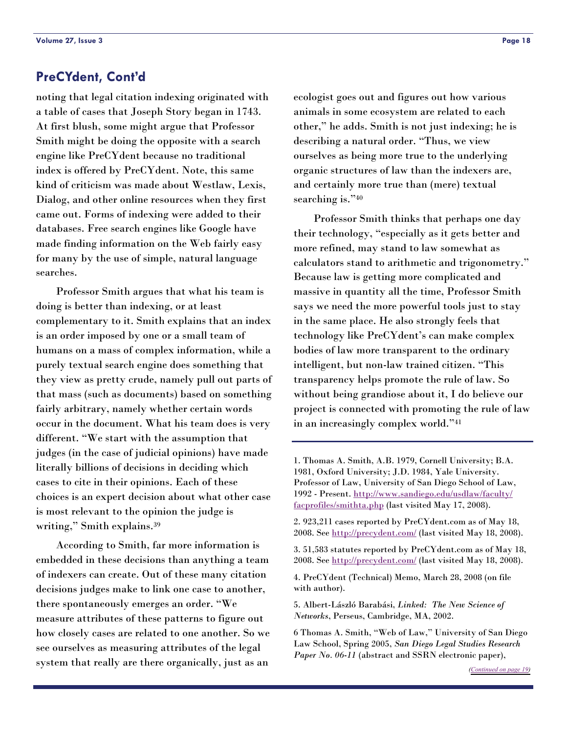<span id="page-17-0"></span>noting that legal citation indexing originated with a table of cases that Joseph Story began in 1743. At first blush, some might argue that Professor Smith might be doing the opposite with a search engine like PreCYdent because no traditional index is offered by PreCYdent. Note, this same kind of criticism was made about Westlaw, Lexis, Dialog, and other online resources when they first came out. Forms of indexing were added to their databases. Free search engines like Google have made finding information on the Web fairly easy for many by the use of simple, natural language searches.

 Professor Smith argues that what his team is doing is better than indexing, or at least complementary to it. Smith explains that an index is an order imposed by one or a small team of humans on a mass of complex information, while a purely textual search engine does something that they view as pretty crude, namely pull out parts of that mass (such as documents) based on something fairly arbitrary, namely whether certain words occur in the document. What his team does is very different. "We start with the assumption that judges (in the case of judicial opinions) have made literally billions of decisions in deciding which cases to cite in their opinions. Each of these choices is an expert decision about what other case is most relevant to the opinion the judge is writing," Smith explains.39

 According to Smith, far more information is embedded in these decisions than anything a team of indexers can create. Out of these many citation decisions judges make to link one case to another, there spontaneously emerges an order. "We measure attributes of these patterns to figure out how closely cases are related to one another. So we see ourselves as measuring attributes of the legal system that really are there organically, just as an

ecologist goes out and figures out how various animals in some ecosystem are related to each other," he adds. Smith is not just indexing; he is describing a natural order. "Thus, we view ourselves as being more true to the underlying organic structures of law than the indexers are, and certainly more true than (mere) textual searching is."40

 Professor Smith thinks that perhaps one day their technology, "especially as it gets better and more refined, may stand to law somewhat as calculators stand to arithmetic and trigonometry." Because law is getting more complicated and massive in quantity all the time, Professor Smith says we need the more powerful tools just to stay in the same place. He also strongly feels that technology like PreCYdent's can make complex bodies of law more transparent to the ordinary intelligent, but non-law trained citizen. "This transparency helps promote the rule of law. So without being grandiose about it, I do believe our project is connected with promoting the rule of law in an increasingly complex world."41

2. 923,211 cases reported by PreCYdent.com as of May 18, 2008. See<http://precydent.com/> (last visited May 18, 2008).

3. 51,583 statutes reported by PreCYdent.com as of May 18, 2008. See<http://precydent.com/> (last visited May 18, 2008).

4. PreCYdent (Technical) Memo, March 28, 2008 (on file with author).

5. Albert-László Barabási, *Linked: The New Science of Networks*, Perseus, Cambridge, MA, 2002.

6 Thomas A. Smith, "Web of Law," University of San Diego Law School, Spring 2005, *San Diego Legal Studies Research Paper No. 06-11* (abstract and SSRN electronic paper),

<sup>1.</sup> Thomas A. Smith, A.B. 1979, Cornell University; B.A. 1981, Oxford University; J.D. 1984, Yale University. Professor of Law, University of San Diego School of Law, 1992 - Present. [http://www.sandiego.edu/usdlaw/faculty/](http://www.sandiego.edu/usdlaw/faculty/facprofiles/smithta.php) [facprofiles/smithta.php](http://www.sandiego.edu/usdlaw/faculty/facprofiles/smithta.php) (last visited May 17, 2008).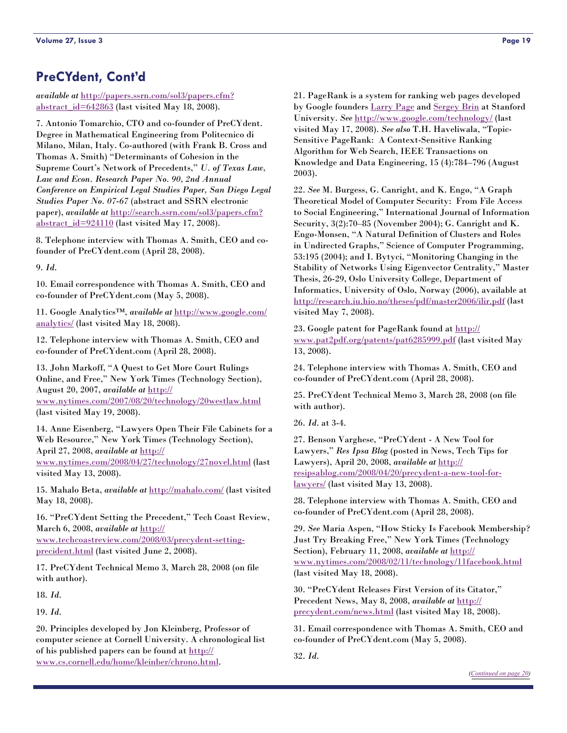<span id="page-18-0"></span>*available at* [http://papers.ssrn.com/sol3/papers.cfm?](http://papers.ssrn.com/sol3/papers.cfm?abstract_id=642863) [abstract\\_id=642863](http://papers.ssrn.com/sol3/papers.cfm?abstract_id=642863) (last visited May 18, 2008).

7. Antonio Tomarchio, CTO and co-founder of PreCYdent. Degree in Mathematical Engineering from Politecnico di Milano, Milan, Italy. Co-authored (with Frank B. Cross and Thomas A. Smith) "Determinants of Cohesion in the Supreme Court's Network of Precedents," *U. of Texas Law, Law and Econ. Research Paper No. 90, 2nd Annual Conference on Empirical Legal Studies Paper, San Diego Legal Studies Paper No. 07-67* (abstract and SSRN electronic paper), *available at* [http://search.ssrn.com/sol3/papers.cfm?](http://search.ssrn.com/sol3/papers.cfm?abstract_id=924110) abstract  $id=924110$  (last visited May 17, 2008).

8. Telephone interview with Thomas A. Smith, CEO and cofounder of PreCYdent.com (April 28, 2008).

9. *Id*.

10. Email correspondence with Thomas A. Smith, CEO and co-founder of PreCYdent.com (May 5, 2008).

11. Google Analytics™, *available at* [http://www.google.com/](http://www.google.com/analytics/) [analytics/](http://www.google.com/analytics/) (last visited May 18, 2008).

12. Telephone interview with Thomas A. Smith, CEO and co-founder of PreCYdent.com (April 28, 2008).

13. John Markoff, "A Quest to Get More Court Rulings Online, and Free," New York Times (Technology Section), August 20, 2007, *available at* [http://](http://www.nytimes.com/2007/08/20/technology/20westlaw.html) [www.nytimes.com/2007/08/20/technology/20westlaw.html](http://www.nytimes.com/2007/08/20/technology/20westlaw.html) (last visited May 19, 2008).

14. Anne Eisenberg, "Lawyers Open Their File Cabinets for a Web Resource," New York Times (Technology Section), April 27, 2008, *available at* [http://](http://www.nytimes.com/2008/04/27/technology/27novel.html) [www.nytimes.com/2008/04/27/technology/27novel.html](http://www.nytimes.com/2008/04/27/technology/27novel.html) (last

visited May 13, 2008).

15. Mahalo Beta, *available at* <http://mahalo.com/> (last visited May 18, 2008).

16. "PreCYdent Setting the Precedent," Tech Coast Review, March 6, 2008, *available at* [http://](http://www.techcoastreview.com/2008/03/precydent-setting-precident.html) [www.techcoastreview.com/2008/03/precydent-setting](http://www.techcoastreview.com/2008/03/precydent-setting-precident.html)[precident.html](http://www.techcoastreview.com/2008/03/precydent-setting-precident.html) (last visited June 2, 2008).

17. PreCYdent Technical Memo 3, March 28, 2008 (on file with author).

18. *Id*.

19. *Id*.

20. Principles developed by Jon Kleinberg, Professor of computer science at Cornell University. A chronological list of his published papers can be found at [http://](http://www.cs.cornell.edu/home/kleinber/chrono.html) [www.cs.cornell.edu/home/kleinber/chrono.html](http://www.cs.cornell.edu/home/kleinber/chrono.html).

21. PageRank is a system for ranking web pages developed by Google founders [Larry Page](http://www.google.com/corporate/execs.html#larry) and [Sergey Brin](http://www.google.com/corporate/execs.html#sergey) at Stanford University. *See* <http://www.google.com/technology/> (last visited May 17, 2008). *See also* T.H. Haveliwala, "Topic-Sensitive PageRank: A Context-Sensitive Ranking Algorithm for Web Search, IEEE Transactions on Knowledge and Data Engineering, 15 (4):784–796 (August 2003).

22. *See* M. Burgess, G. Canright, and K. Engø, "A Graph Theoretical Model of Computer Security: From File Access to Social Engineering," International Journal of Information Security, 3(2):70–85 (November 2004); G. Canright and K. Engø-Monsen, "A Natural Definition of Clusters and Roles in Undirected Graphs," Science of Computer Programming, 53:195 (2004); and I. Bytyci, "Monitoring Changing in the Stability of Networks Using Eigenvector Centrality," Master Thesis, 26-29, Oslo University College, Department of Informatics, University of Oslo, Norway (2006), available at <http://research.iu.hio.no/theses/pdf/master2006/ilir.pdf>(last visited May 7, 2008).

23. Google patent for PageRank found at [http://](http://www.pat2pdf.org/patents/pat6285999.pdf) [www.pat2pdf.org/patents/pat6285999.pdf](http://www.pat2pdf.org/patents/pat6285999.pdf) (last visited May 13, 2008).

24. Telephone interview with Thomas A. Smith, CEO and co-founder of PreCYdent.com (April 28, 2008).

25. PreCYdent Technical Memo 3, March 28, 2008 (on file with author).

26. *Id*. at 3-4.

27. Benson Varghese, "PreCYdent - A New Tool for Lawyers," *Res Ipsa Blog* (posted in News, Tech Tips for Lawyers), April 20, 2008, *available at* [http://](http://resipsablog.com/2008/04/20/precydent-a-new-tool-for-lawyers/) [resipsablog.com/2008/04/20/precydent-a-new-tool-for](http://resipsablog.com/2008/04/20/precydent-a-new-tool-for-lawyers/)[lawyers/](http://resipsablog.com/2008/04/20/precydent-a-new-tool-for-lawyers/) (last visited May 13, 2008).

28. Telephone interview with Thomas A. Smith, CEO and co-founder of PreCYdent.com (April 28, 2008).

29. *See* Maria Aspen, "How Sticky Is Facebook Membership? Just Try Breaking Free," New York Times (Technology Section), February 11, 2008, *available at* [http://](http://www.nytimes.com/2008/02/11/technology/11facebook.html) [www.nytimes.com/2008/02/11/technology/11facebook.html](http://www.nytimes.com/2008/02/11/technology/11facebook.html) (last visited May 18, 2008).

30. "PreCYdent Releases First Version of its Citator," Precedent News, May 8, 2008, *available at* [http://](http://precydent.com/news.html) [precydent.com/news.html](http://precydent.com/news.html) (last visited May 18, 2008).

31. Email correspondence with Thomas A. Smith, CEO and co-founder of PreCYdent.com (May 5, 2008).

32. *Id*.

*([Continued on page 20\)](#page-19-0)*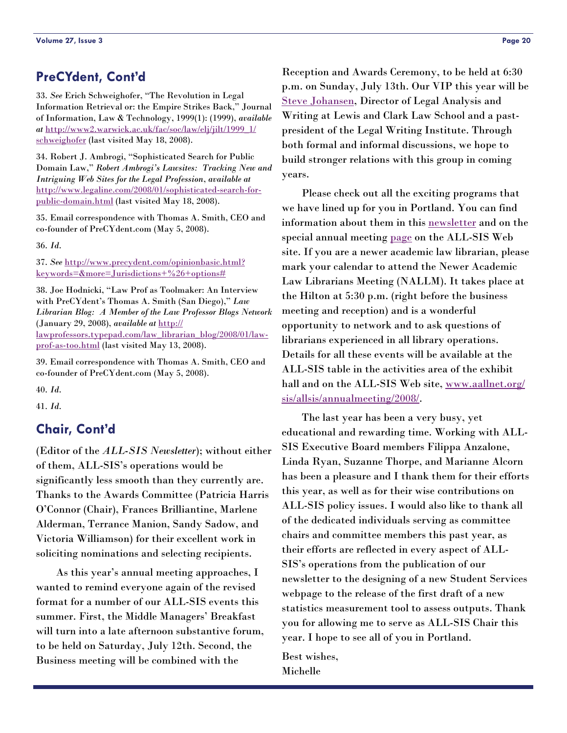<span id="page-19-0"></span>33. *See* Erich Schweighofer, "The Revolution in Legal Information Retrieval or: the Empire Strikes Back," Journal of Information, Law & Technology, 1999(1): (1999), *available at* [http://www2.warwick.ac.uk/fac/soc/law/elj/jilt/1999\\_1/](http://www2.warwick.ac.uk/fac/soc/law/elj/jilt/1999_1/schweighofer) [schweighofer](http://www2.warwick.ac.uk/fac/soc/law/elj/jilt/1999_1/schweighofer) (last visited May 18, 2008).

34. Robert J. Ambrogi, "Sophisticated Search for Public Domain Law," *Robert Ambrogi's Lawsites: Tracking New and Intriguing Web Sites for the Legal Profession*, *available at* [http://www.legaline.com/2008/01/sophisticated-search-for](http://www.legaline.com/2008/01/sophisticated-search-for-public-domain.html)[public-domain.html](http://www.legaline.com/2008/01/sophisticated-search-for-public-domain.html) (last visited May 18, 2008).

35. Email correspondence with Thomas A. Smith, CEO and co-founder of PreCYdent.com (May 5, 2008).

36. *Id*.

37. *See* [http://www.precydent.com/opinionbasic.html?](http://www.precydent.com/opinionbasic.html?keywords=&more=Jurisdictions+%26+options) [keywords=&more=Jurisdictions+%26+options#](http://www.precydent.com/opinionbasic.html?keywords=&more=Jurisdictions+%26+options)

38. Joe Hodnicki, "Law Prof as Toolmaker: An Interview with PreCYdent's Thomas A. Smith (San Diego)," *Law Librarian Blog: A Member of the Law Professor Blogs Network* (January 29, 2008), *available at* [http://](http://lawprofessors.typepad.com/law_librarian_blog/2008/01/law-prof-as-too.html) [lawprofessors.typepad.com/law\\_librarian\\_blog/2008/01/law](http://lawprofessors.typepad.com/law_librarian_blog/2008/01/law-prof-as-too.html)[prof-as-too.html](http://lawprofessors.typepad.com/law_librarian_blog/2008/01/law-prof-as-too.html) (last visited May 13, 2008).

39. Email correspondence with Thomas A. Smith, CEO and co-founder of PreCYdent.com (May 5, 2008).

40. *Id*.

41. *Id*.

## **Chair, Cont'd**

(Editor of the *ALL-SIS Newsletter*); without either of them, ALL-SIS's operations would be significantly less smooth than they currently are. Thanks to the Awards Committee (Patricia Harris O'Connor (Chair), Frances Brilliantine, Marlene Alderman, Terrance Manion, Sandy Sadow, and Victoria Williamson) for their excellent work in soliciting nominations and selecting recipients.

 As this year's annual meeting approaches, I wanted to remind everyone again of the revised format for a number of our ALL-SIS events this summer. First, the Middle Managers' Breakfast will turn into a late afternoon substantive forum, to be held on Saturday, July 12th. Second, the Business meeting will be combined with the

Reception and Awards Ceremony, to be held at 6:30 p.m. on Sunday, July 13th. Our VIP this year will be [Steve Johansen](http://www.lclark.edu/dept/lawadmss/johansen.html), Director of Legal Analysis and Writing at Lewis and Clark Law School and a pastpresident of the Legal Writing Institute. Through both formal and informal discussions, we hope to build stronger relations with this group in coming years.

 Please check out all the exciting programs that we have lined up for you in Portland. You can find information about them in this [newsletter](#page-1-0) and on the special annual meeting [page](http://www.aallnet.org/sis/allsis/annualmeeting/2008/programs.htm) on the ALL-SIS Web site. If you are a newer academic law librarian, please mark your calendar to attend the Newer Academic Law Librarians Meeting (NALLM). It takes place at the Hilton at 5:30 p.m. (right before the business meeting and reception) and is a wonderful opportunity to network and to ask questions of librarians experienced in all library operations. Details for all these events will be available at the ALL-SIS table in the activities area of the exhibit hall and on the ALL-SIS Web site, [www.aallnet.org/](http://www.aallnet.org/sis/allsis/annualmeeting/2008/programs.htm) [sis/allsis/annualmeeting/2008/](http://www.aallnet.org/sis/allsis/annualmeeting/2008/programs.htm).

 The last year has been a very busy, yet educational and rewarding time. Working with ALL-SIS Executive Board members Filippa Anzalone, Linda Ryan, Suzanne Thorpe, and Marianne Alcorn has been a pleasure and I thank them for their efforts this year, as well as for their wise contributions on ALL-SIS policy issues. I would also like to thank all of the dedicated individuals serving as committee chairs and committee members this past year, as their efforts are reflected in every aspect of ALL-SIS's operations from the publication of our newsletter to the designing of a new Student Services webpage to the release of the first draft of a new statistics measurement tool to assess outputs. Thank you for allowing me to serve as ALL-SIS Chair this year. I hope to see all of you in Portland.

Best wishes, Michelle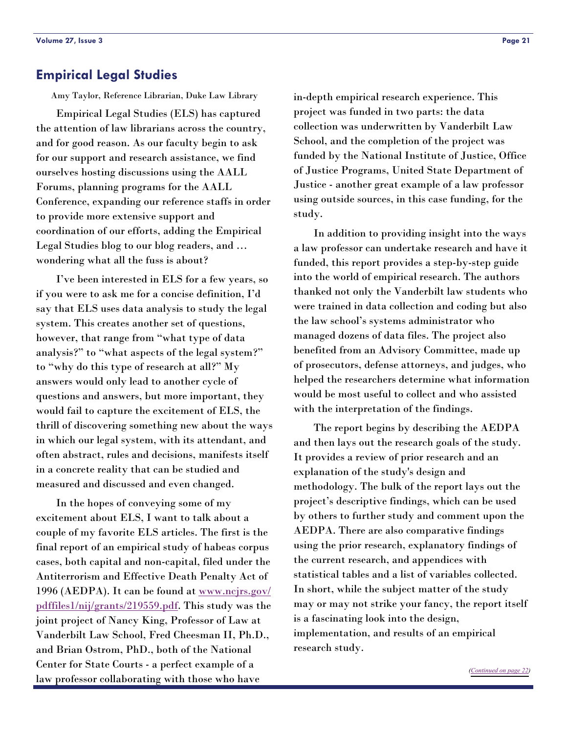#### <span id="page-20-0"></span>**Empirical Legal Studies**

Amy Taylor, Reference Librarian, Duke Law Library

 Empirical Legal Studies (ELS) has captured the attention of law librarians across the country, and for good reason. As our faculty begin to ask for our support and research assistance, we find ourselves hosting discussions using the AALL Forums, planning programs for the AALL Conference, expanding our reference staffs in order to provide more extensive support and coordination of our efforts, adding the Empirical Legal Studies blog to our blog readers, and … wondering what all the fuss is about?

 I've been interested in ELS for a few years, so if you were to ask me for a concise definition, I'd say that ELS uses data analysis to study the legal system. This creates another set of questions, however, that range from "what type of data analysis?" to "what aspects of the legal system?" to "why do this type of research at all?" My answers would only lead to another cycle of questions and answers, but more important, they would fail to capture the excitement of ELS, the thrill of discovering something new about the ways in which our legal system, with its attendant, and often abstract, rules and decisions, manifests itself in a concrete reality that can be studied and measured and discussed and even changed.

 In the hopes of conveying some of my excitement about ELS, I want to talk about a couple of my favorite ELS articles. The first is the final report of an empirical study of habeas corpus cases, both capital and non-capital, filed under the Antiterrorism and Effective Death Penalty Act of 1996 (AEDPA). It can be found at [www.ncjrs.gov/](http://www.ncjrs.gov/pdffilesl/nij/grants/219559.pdf) pdffiles1[/nij/grants/219559.pdf](http://www.ncjrs.gov/pdffilesl/nij/grants/219559.pdf). This study was the joint project of Nancy King, Professor of Law at Vanderbilt Law School, Fred Cheesman II, Ph.D., and Brian Ostrom, PhD., both of the National Center for State Courts - a perfect example of a law professor collaborating with those who have

in-depth empirical research experience. This project was funded in two parts: the data collection was underwritten by Vanderbilt Law School, and the completion of the project was funded by the National Institute of Justice, Office of Justice Programs, United State Department of Justice - another great example of a law professor using outside sources, in this case funding, for the study.

 In addition to providing insight into the ways a law professor can undertake research and have it funded, this report provides a step-by-step guide into the world of empirical research. The authors thanked not only the Vanderbilt law students who were trained in data collection and coding but also the law school's systems administrator who managed dozens of data files. The project also benefited from an Advisory Committee, made up of prosecutors, defense attorneys, and judges, who helped the researchers determine what information would be most useful to collect and who assisted with the interpretation of the findings.

 The report begins by describing the AEDPA and then lays out the research goals of the study. It provides a review of prior research and an explanation of the study's design and methodology. The bulk of the report lays out the project's descriptive findings, which can be used by others to further study and comment upon the AEDPA. There are also comparative findings using the prior research, explanatory findings of the current research, and appendices with statistical tables and a list of variables collected. In short, while the subject matter of the study may or may not strike your fancy, the report itself is a fascinating look into the design, implementation, and results of an empirical research study.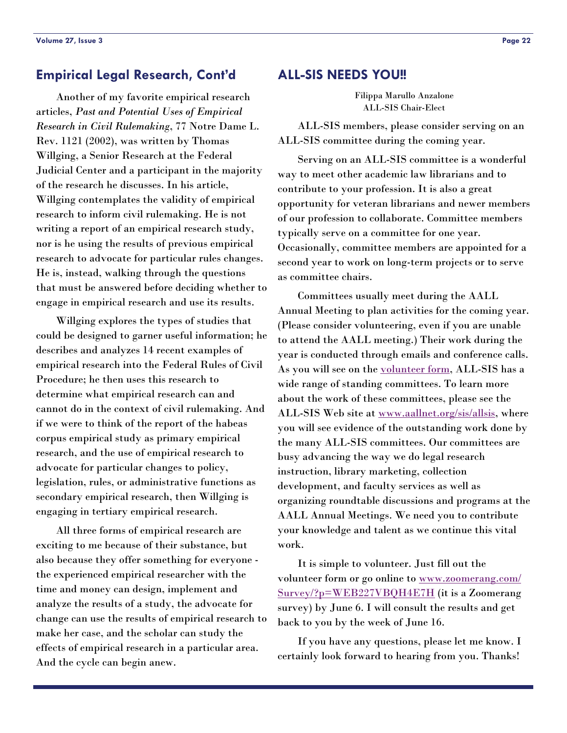#### <span id="page-21-0"></span>**Empirical Legal Research, Cont'd**

 Another of my favorite empirical research articles, *Past and Potential Uses of Empirical Research in Civil Rulemaking*, 77 Notre Dame L. Rev. 1121 (2002), was written by Thomas Willging, a Senior Research at the Federal Judicial Center and a participant in the majority of the research he discusses. In his article, Willging contemplates the validity of empirical research to inform civil rulemaking. He is not writing a report of an empirical research study, nor is he using the results of previous empirical research to advocate for particular rules changes. He is, instead, walking through the questions that must be answered before deciding whether to engage in empirical research and use its results.

 Willging explores the types of studies that could be designed to garner useful information; he describes and analyzes 14 recent examples of empirical research into the Federal Rules of Civil Procedure; he then uses this research to determine what empirical research can and cannot do in the context of civil rulemaking. And if we were to think of the report of the habeas corpus empirical study as primary empirical research, and the use of empirical research to advocate for particular changes to policy, legislation, rules, or administrative functions as secondary empirical research, then Willging is engaging in tertiary empirical research.

 All three forms of empirical research are exciting to me because of their substance, but also because they offer something for everyone the experienced empirical researcher with the time and money can design, implement and analyze the results of a study, the advocate for change can use the results of empirical research to make her case, and the scholar can study the effects of empirical research in a particular area. And the cycle can begin anew.

#### **ALL-SIS NEEDS YOU!!**

Filippa Marullo Anzalone ALL-SIS Chair-Elect

 ALL-SIS members, please consider serving on an ALL-SIS committee during the coming year.

 Serving on an ALL-SIS committee is a wonderful way to meet other academic law librarians and to contribute to your profession. It is also a great opportunity for veteran librarians and newer members of our profession to collaborate. Committee members typically serve on a committee for one year. Occasionally, committee members are appointed for a second year to work on long-term projects or to serve as committee chairs.

 Committees usually meet during the AALL Annual Meeting to plan activities for the coming year. (Please consider volunteering, even if you are unable to attend the AALL meeting.) Their work during the year is conducted through emails and conference calls. As you will see on the [volunteer form](#page-28-0), ALL-SIS has a wide range of standing committees. To learn more about the work of these committees, please see the ALL-SIS Web site at [www.aallnet.org/sis/allsis](http://www.aallnet.org/sis/allsis), where you will see evidence of the outstanding work done by the many ALL-SIS committees. Our committees are busy advancing the way we do legal research instruction, library marketing, collection development, and faculty services as well as organizing roundtable discussions and programs at the AALL Annual Meetings. We need you to contribute your knowledge and talent as we continue this vital work.

 It is simple to volunteer. Just fill out the volunteer form or go online to [www.zoomerang.com/](http://www.zoomerang.com/Survey/?p=WEB227VBQH4E7H) [Survey/?p=WEB227VBQH4E7H](http://www.zoomerang.com/Survey/?p=WEB227VBQH4E7H) (it is a Zoomerang survey) by June 6. I will consult the results and get back to you by the week of June 16.

 If you have any questions, please let me know. I certainly look forward to hearing from you. Thanks!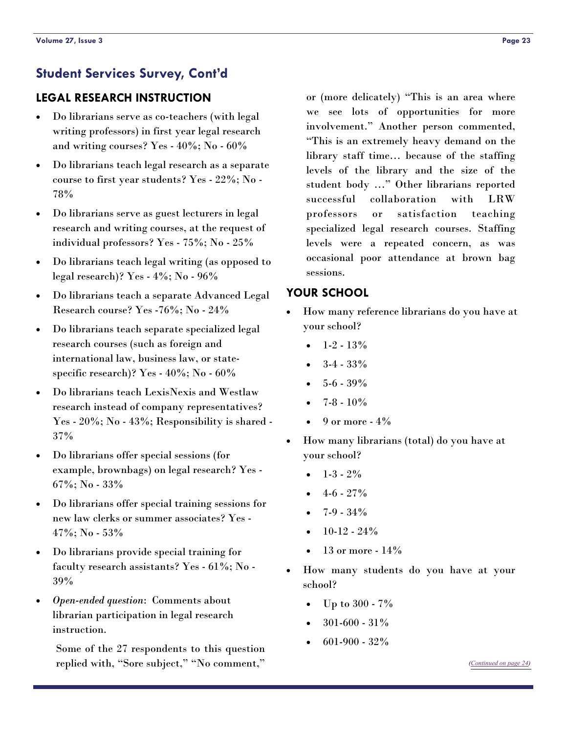# <span id="page-22-0"></span>**LEGAL RESEARCH INSTRUCTION**

- Do librarians serve as co-teachers (with legal writing professors) in first year legal research and writing courses? Yes - 40%; No - 60%
- Do librarians teach legal research as a separate course to first year students? Yes - 22%; No - 78%
- Do librarians serve as guest lecturers in legal research and writing courses, at the request of individual professors? Yes - 75%; No - 25%
- Do librarians teach legal writing (as opposed to legal research)? Yes - 4%; No - 96%
- Do librarians teach a separate Advanced Legal Research course? Yes -76%; No - 24%
- Do librarians teach separate specialized legal research courses (such as foreign and international law, business law, or statespecific research)? Yes - 40%; No - 60%
- Do librarians teach LexisNexis and Westlaw research instead of company representatives? Yes - 20%; No - 43%; Responsibility is shared -37%
- Do librarians offer special sessions (for example, brownbags) on legal research? Yes - 67%; No - 33%
- Do librarians offer special training sessions for new law clerks or summer associates? Yes -  $47\%$ ; No - 53%
- Do librarians provide special training for faculty research assistants? Yes - 61%; No - 39%
- *Open-ended question*: Comments about librarian participation in legal research instruction.

Some of the 27 respondents to this question replied with, "Sore subject," "No comment,"

or (more delicately) "This is an area where we see lots of opportunities for more involvement." Another person commented, "This is an extremely heavy demand on the library staff time… because of the staffing levels of the library and the size of the student body …" Other librarians reported successful collaboration with LRW professors or satisfaction teaching specialized legal research courses. Staffing levels were a repeated concern, as was occasional poor attendance at brown bag sessions.

## **YOUR SCHOOL**

- How many reference librarians do you have at your school?
	- $1-2 13%$
	- $3-4 33%$
	- $5 6 39%$
	- $7 8 10%$
	- $9$  or more  $4\%$
- How many librarians (total) do you have at your school?
	- $\bullet$  1-3 2%
	- $4-6 27\%$
	- 7-9 34%
	- $10-12 24%$
	- 13 or more  $14\%$
- How many students do you have at your school?
	- Up to 300 7%
	- $301-600 31\%$
	- $601-900-32%$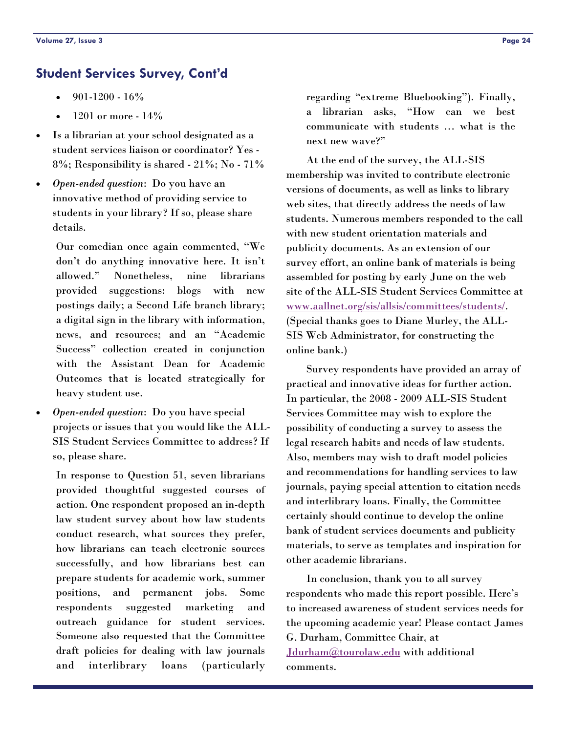- <span id="page-23-0"></span>• 901-1200 - 16%
- 1201 or more 14%
- Is a librarian at your school designated as a student services liaison or coordinator? Yes - 8%; Responsibility is shared - 21%; No - 71%
- *Open-ended question*: Do you have an innovative method of providing service to students in your library? If so, please share details.

Our comedian once again commented, "We don't do anything innovative here. It isn't allowed." Nonetheless, nine librarians provided suggestions: blogs with new postings daily; a Second Life branch library; a digital sign in the library with information, news, and resources; and an "Academic Success" collection created in conjunction with the Assistant Dean for Academic Outcomes that is located strategically for heavy student use.

• *Open-ended question*: Do you have special projects or issues that you would like the ALL-SIS Student Services Committee to address? If so, please share.

In response to Question 51, seven librarians provided thoughtful suggested courses of action. One respondent proposed an in-depth law student survey about how law students conduct research, what sources they prefer, how librarians can teach electronic sources successfully, and how librarians best can prepare students for academic work, summer positions, and permanent jobs. Some respondents suggested marketing and outreach guidance for student services. Someone also requested that the Committee draft policies for dealing with law journals and interlibrary loans (particularly

regarding "extreme Bluebooking"). Finally, a librarian asks, "How can we best communicate with students … what is the next new wave?"

 At the end of the survey, the ALL-SIS membership was invited to contribute electronic versions of documents, as well as links to library web sites, that directly address the needs of law students. Numerous members responded to the call with new student orientation materials and publicity documents. As an extension of our survey effort, an online bank of materials is being assembled for posting by early June on the web site of the ALL-SIS Student Services Committee at [www.aallnet.org/sis/allsis/committees/students/](http://www.aallnet.org/sis/allsis/committees/students/index.asp). (Special thanks goes to Diane Murley, the ALL-SIS Web Administrator, for constructing the online bank.)

 Survey respondents have provided an array of practical and innovative ideas for further action. In particular, the 2008 - 2009 ALL-SIS Student Services Committee may wish to explore the possibility of conducting a survey to assess the legal research habits and needs of law students. Also, members may wish to draft model policies and recommendations for handling services to law journals, paying special attention to citation needs and interlibrary loans. Finally, the Committee certainly should continue to develop the online bank of student services documents and publicity materials, to serve as templates and inspiration for other academic librarians.

 In conclusion, thank you to all survey respondents who made this report possible. Here's to increased awareness of student services needs for the upcoming academic year! Please contact James G. Durham, Committee Chair, at [Jdurham@tourolaw.edu](mailto:Jdurham@tourolaw.edu) with additional comments.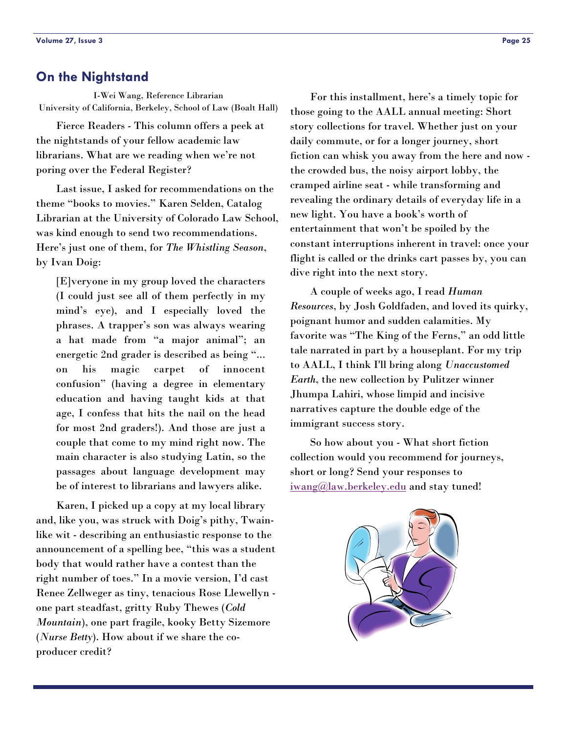#### <span id="page-24-0"></span>**On the Nightstand**

I-Wei Wang, Reference Librarian University of California, Berkeley, School of Law (Boalt Hall)

 Fierce Readers - This column offers a peek at the nightstands of your fellow academic law librarians. What are we reading when we're not poring over the Federal Register?

 Last issue, I asked for recommendations on the theme "books to movies." Karen Selden, Catalog Librarian at the University of Colorado Law School, was kind enough to send two recommendations. Here's just one of them, for *The Whistling Season*, by Ivan Doig:

[E]veryone in my group loved the characters (I could just see all of them perfectly in my mind's eye), and I especially loved the phrases. A trapper's son was always wearing a hat made from "a major animal"; an energetic 2nd grader is described as being "... on his magic carpet of innocent confusion" (having a degree in elementary education and having taught kids at that age, I confess that hits the nail on the head for most 2nd graders!). And those are just a couple that come to my mind right now. The main character is also studying Latin, so the passages about language development may be of interest to librarians and lawyers alike.

 Karen, I picked up a copy at my local library and, like you, was struck with Doig's pithy, Twainlike wit - describing an enthusiastic response to the announcement of a spelling bee, "this was a student body that would rather have a contest than the right number of toes." In a movie version, I'd cast Renee Zellweger as tiny, tenacious Rose Llewellyn one part steadfast, gritty Ruby Thewes (*Cold Mountain*), one part fragile, kooky Betty Sizemore (*Nurse Betty*). How about if we share the coproducer credit?

 For this installment, here's a timely topic for those going to the AALL annual meeting: Short story collections for travel. Whether just on your daily commute, or for a longer journey, short fiction can whisk you away from the here and now the crowded bus, the noisy airport lobby, the cramped airline seat - while transforming and revealing the ordinary details of everyday life in a new light. You have a book's worth of entertainment that won't be spoiled by the constant interruptions inherent in travel: once your flight is called or the drinks cart passes by, you can dive right into the next story.

 A couple of weeks ago, I read *Human Resources*, by Josh Goldfaden, and loved its quirky, poignant humor and sudden calamities. My favorite was "The King of the Ferns," an odd little tale narrated in part by a houseplant. For my trip to AALL, I think I'll bring along *Unaccustomed Earth*, the new collection by Pulitzer winner Jhumpa Lahiri, whose limpid and incisive narratives capture the double edge of the immigrant success story.

 So how about you - What short fiction collection would you recommend for journeys, short or long? Send your responses to [iwang@law.berkeley.edu](mailto:iwang@law.berkeley.edu) and stay tuned!

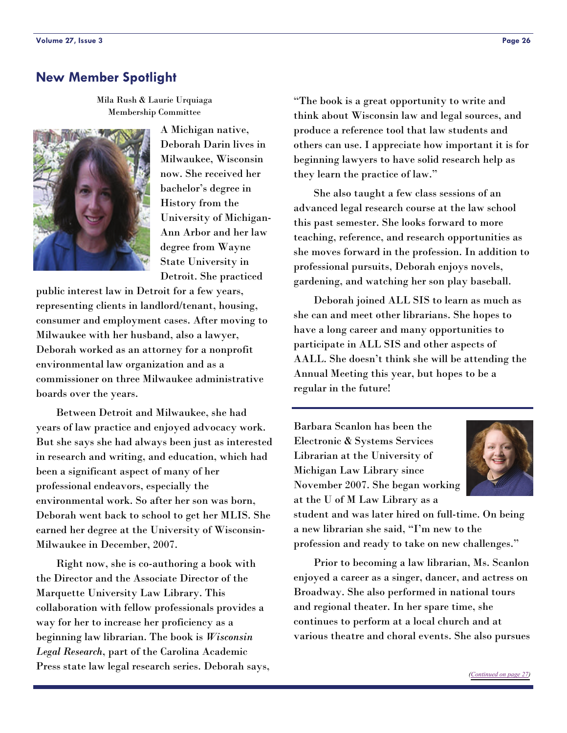#### <span id="page-25-0"></span>**New Member Spotlight**

Mila Rush & Laurie Urquiaga Membership Committee



A Michigan native, Deborah Darin lives in Milwaukee, Wisconsin now. She received her bachelor's degree in History from the University of Michigan-Ann Arbor and her law degree from Wayne State University in Detroit. She practiced

public interest law in Detroit for a few years, representing clients in landlord/tenant, housing, consumer and employment cases. After moving to Milwaukee with her husband, also a lawyer, Deborah worked as an attorney for a nonprofit environmental law organization and as a commissioner on three Milwaukee administrative boards over the years.

 Between Detroit and Milwaukee, she had years of law practice and enjoyed advocacy work. But she says she had always been just as interested in research and writing, and education, which had been a significant aspect of many of her professional endeavors, especially the environmental work. So after her son was born, Deborah went back to school to get her MLIS. She earned her degree at the University of Wisconsin-Milwaukee in December, 2007.

 Right now, she is co-authoring a book with the Director and the Associate Director of the Marquette University Law Library. This collaboration with fellow professionals provides a way for her to increase her proficiency as a beginning law librarian. The book is *Wisconsin Legal Research*, part of the Carolina Academic Press state law legal research series. Deborah says, "The book is a great opportunity to write and think about Wisconsin law and legal sources, and produce a reference tool that law students and others can use. I appreciate how important it is for beginning lawyers to have solid research help as they learn the practice of law."

 She also taught a few class sessions of an advanced legal research course at the law school this past semester. She looks forward to more teaching, reference, and research opportunities as she moves forward in the profession. In addition to professional pursuits, Deborah enjoys novels, gardening, and watching her son play baseball.

 Deborah joined ALL SIS to learn as much as she can and meet other librarians. She hopes to have a long career and many opportunities to participate in ALL SIS and other aspects of AALL. She doesn't think she will be attending the Annual Meeting this year, but hopes to be a regular in the future!

Barbara Scanlon has been the Electronic & Systems Services Librarian at the University of Michigan Law Library since November 2007. She began working at the U of M Law Library as a



student and was later hired on full-time. On being a new librarian she said, "I'm new to the profession and ready to take on new challenges."

 Prior to becoming a law librarian, Ms. Scanlon enjoyed a career as a singer, dancer, and actress on Broadway. She also performed in national tours and regional theater. In her spare time, she continues to perform at a local church and at various theatre and choral events. She also pursues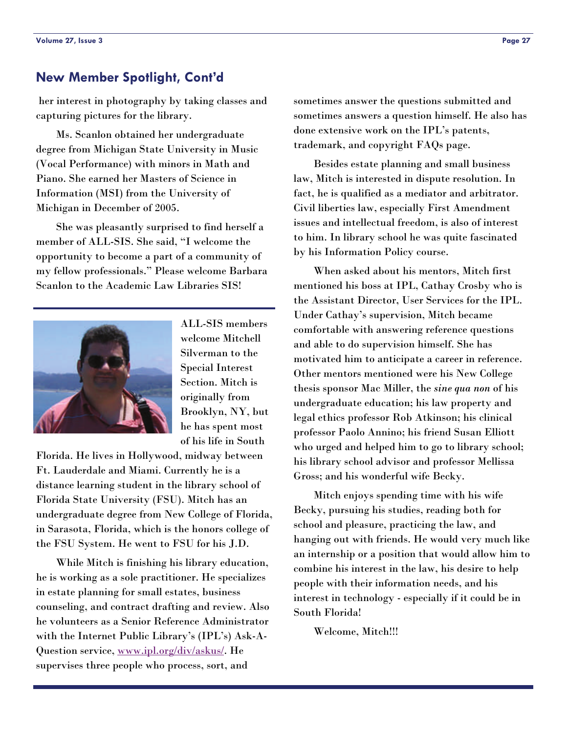#### <span id="page-26-0"></span>**New Member Spotlight, Cont'd**

 her interest in photography by taking classes and capturing pictures for the library.

 Ms. Scanlon obtained her undergraduate degree from Michigan State University in Music (Vocal Performance) with minors in Math and Piano. She earned her Masters of Science in Information (MSI) from the University of Michigan in December of 2005.

 She was pleasantly surprised to find herself a member of ALL-SIS. She said, "I welcome the opportunity to become a part of a community of my fellow professionals." Please welcome Barbara Scanlon to the Academic Law Libraries SIS!



ALL-SIS members welcome Mitchell Silverman to the Special Interest Section. Mitch is originally from Brooklyn, NY, but he has spent most of his life in South

Florida. He lives in Hollywood, midway between Ft. Lauderdale and Miami. Currently he is a distance learning student in the library school of Florida State University (FSU). Mitch has an undergraduate degree from New College of Florida, in Sarasota, Florida, which is the honors college of the FSU System. He went to FSU for his J.D.

 While Mitch is finishing his library education, he is working as a sole practitioner. He specializes in estate planning for small estates, business counseling, and contract drafting and review. Also he volunteers as a Senior Reference Administrator with the Internet Public Library's (IPL's) Ask-A-Question service, [www.ipl.org/div/askus/](http://www.ipl.org/div/askus/). He supervises three people who process, sort, and

sometimes answer the questions submitted and sometimes answers a question himself. He also has done extensive work on the IPL's patents, trademark, and copyright FAQs page.

 Besides estate planning and small business law, Mitch is interested in dispute resolution. In fact, he is qualified as a mediator and arbitrator. Civil liberties law, especially First Amendment issues and intellectual freedom, is also of interest to him. In library school he was quite fascinated by his Information Policy course.

 When asked about his mentors, Mitch first mentioned his boss at IPL, Cathay Crosby who is the Assistant Director, User Services for the IPL. Under Cathay's supervision, Mitch became comfortable with answering reference questions and able to do supervision himself. She has motivated him to anticipate a career in reference. Other mentors mentioned were his New College thesis sponsor Mac Miller, the *sine qua non* of his undergraduate education; his law property and legal ethics professor Rob Atkinson; his clinical professor Paolo Annino; his friend Susan Elliott who urged and helped him to go to library school; his library school advisor and professor Mellissa Gross; and his wonderful wife Becky.

 Mitch enjoys spending time with his wife Becky, pursuing his studies, reading both for school and pleasure, practicing the law, and hanging out with friends. He would very much like an internship or a position that would allow him to combine his interest in the law, his desire to help people with their information needs, and his interest in technology - especially if it could be in South Florida!

Welcome, Mitch!!!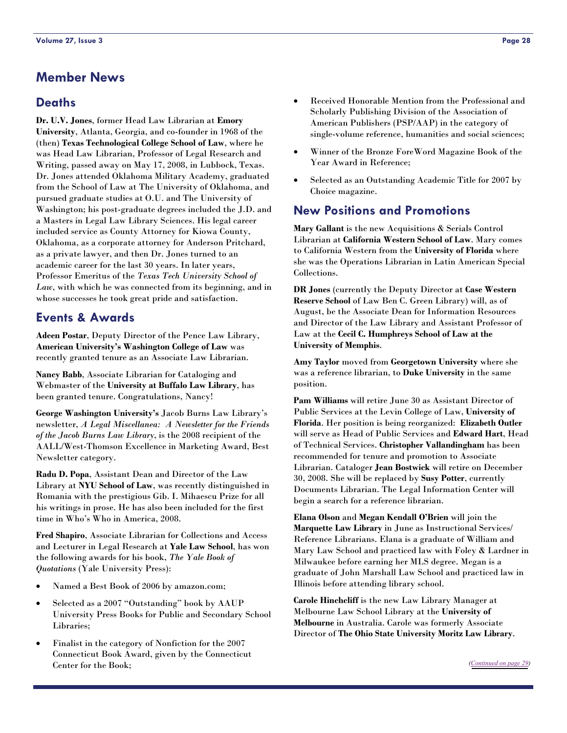## **Member News**

#### **Deaths**

**Dr. U.V. Jones**, former Head Law Librarian at **Emory University**, Atlanta, Georgia, and co-founder in 1968 of the (then) **Texas Technological College School of Law**, where he was Head Law Librarian, Professor of Legal Research and Writing, passed away on May 17, 2008, in Lubbock, Texas. Dr. Jones attended Oklahoma Military Academy, graduated from the School of Law at The University of Oklahoma, and pursued graduate studies at O.U. and The University of Washington; his post-graduate degrees included the J.D. and a Masters in Legal Law Library Sciences. His legal career included service as County Attorney for Kiowa County, Oklahoma, as a corporate attorney for Anderson Pritchard, as a private lawyer, and then Dr. Jones turned to an academic career for the last 30 years. In later years, Professor Emeritus of the *Texas Tech University School of Law*, with which he was connected from its beginning, and in whose successes he took great pride and satisfaction.

#### **Events & Awards**

**Adeen Postar**, Deputy Director of the Pence Law Library, **American University's Washington College of Law** was recently granted tenure as an Associate Law Librarian.

**Nancy Babb**, Associate Librarian for Cataloging and Webmaster of the **University at Buffalo Law Library**, has been granted tenure. Congratulations, Nancy!

**George Washington University's** Jacob Burns Law Library's newsletter, *A Legal Miscellanea: A Newsletter for the Friends of the Jacob Burns Law Library*, is the 2008 recipient of the AALL/West-Thomson Excellence in Marketing Award, Best Newsletter category.

**Radu D. Popa**, Assistant Dean and Director of the Law Library at **NYU School of Law**, was recently distinguished in Romania with the prestigious Gib. I. Mihaescu Prize for all his writings in prose. He has also been included for the first time in Who's Who in America, 2008.

**Fred Shapiro**, Associate Librarian for Collections and Access and Lecturer in Legal Research at **Yale Law School**, has won the following awards for his book, *The Yale Book of Quotations* (Yale University Press):

- Named a Best Book of 2006 by amazon.com;
- Selected as a 2007 "Outstanding" book by AAUP University Press Books for Public and Secondary School Libraries;
- Finalist in the category of Nonfiction for the 2007 Connecticut Book Award, given by the Connecticut Center for the Book;
- Received Honorable Mention from the Professional and Scholarly Publishing Division of the Association of American Publishers (PSP/AAP) in the category of single-volume reference, humanities and social sciences;
- Winner of the Bronze ForeWord Magazine Book of the Year Award in Reference;
- Selected as an Outstanding Academic Title for 2007 by Choice magazine.

#### **New Positions and Promotions**

**Mary Gallant** is the new Acquisitions & Serials Control Librarian at **California Western School of Law**. Mary comes to California Western from the **University of Florida** where she was the Operations Librarian in Latin American Special Collections.

**DR Jones** (currently the Deputy Director at **Case Western Reserve School** of Law Ben C. Green Library) will, as of August, be the Associate Dean for Information Resources and Director of the Law Library and Assistant Professor of Law at the **Cecil C. Humphreys School of Law at the University of Memphis**.

**Amy Taylor** moved from **Georgetown University** where she was a reference librarian, to **Duke University** in the same position.

**Pam Williams** will retire June 30 as Assistant Director of Public Services at the Levin College of Law, **University of Florida**. Her position is being reorganized: **Elizabeth Outler** will serve as Head of Public Services and **Edward Hart**, Head of Technical Services. **Christopher Vallandingham** has been recommended for tenure and promotion to Associate Librarian. Cataloger **Jean Bostwick** will retire on December 30, 2008. She will be replaced by **Susy Potter**, currently Documents Librarian. The Legal Information Center will begin a search for a reference librarian.

**Elana Olson** and **Megan Kendall O'Brien** will join the **Marquette Law Library** in June as Instructional Services/ Reference Librarians. Elana is a graduate of William and Mary Law School and practiced law with Foley & Lardner in Milwaukee before earning her MLS degree. Megan is a graduate of John Marshall Law School and practiced law in Illinois before attending library school.

**Carole Hinchcliff** is the new Law Library Manager at Melbourne Law School Library at the **University of Melbourne** in Australia. Carole was formerly Associate Director of **The Ohio State University Moritz Law Library**.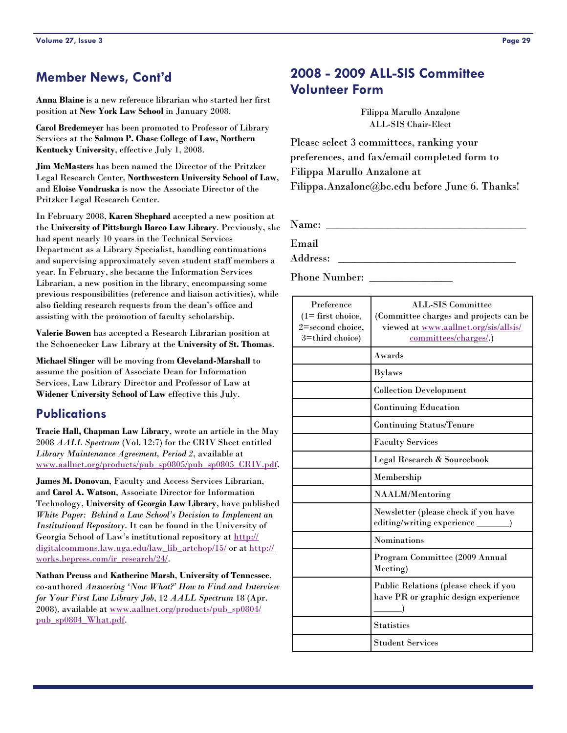### <span id="page-28-0"></span>**Member News, Cont'd**

**Anna Blaine** is a new reference librarian who started her first position at **New York Law School** in January 2008.

**Carol Bredemeyer** has been promoted to Professor of Library Services at the **Salmon P. Chase College of Law, Northern Kentucky University**, effective July 1, 2008.

**Jim McMasters** has been named the Director of the Pritzker Legal Research Center, **Northwestern University School of Law**, and **Eloise Vondruska** is now the Associate Director of the Pritzker Legal Research Center.

In February 2008, **Karen Shephard** accepted a new position at the **University of Pittsburgh Barco Law Library**. Previously, she had spent nearly 10 years in the Technical Services Department as a Library Specialist, handling continuations and supervising approximately seven student staff members a year. In February, she became the Information Services Librarian, a new position in the library, encompassing some previous responsibilities (reference and liaison activities), while also fielding research requests from the dean's office and assisting with the promotion of faculty scholarship.

**Valerie Bowen** has accepted a Research Librarian position at the Schoenecker Law Library at the **University of St. Thomas**.

**Michael Slinger** will be moving from **Cleveland-Marshall** to assume the position of Associate Dean for Information Services, Law Library Director and Professor of Law at **Widener University School of Law** effective this July.

#### **Publications**

**Tracie Hall, Chapman Law Library**, wrote an article in the May 2008 *AALL Spectrum* (Vol. 12:7) for the CRIV Sheet entitled *Library Maintenance Agreement, Period 2*, available at [www.aallnet.org/products/pub\\_sp0805/pub\\_sp0805\\_CRIV.pdf](http://www.aallnet.org/products/pub_sp0805/pub_sp0805_CRIV.pdf).

**James M. Donovan**, Faculty and Access Services Librarian, and **Carol A. Watson**, Associate Director for Information Technology, **University of Georgia Law Library**, have published *White Paper: Behind a Law School's Decision to Implement an Institutional Repository*. It can be found in the University of Georgia School of Law's institutional repository at [http://](http://digitalcommons.law.uga.edu/law_lib_artchop/15/) [digitalcommons.law.uga.edu/law\\_lib\\_artchop/15/](http://digitalcommons.law.uga.edu/law_lib_artchop/15/) or at [http://](http://works.bepress.com/ir_research/24/) [works.bepress.com/ir\\_research/24/](http://works.bepress.com/ir_research/24/).

**Nathan Preuss** and **Katherine Marsh**, **University of Tennessee**, co-authored *Answering 'Now What?' How to Find and Interview for Your First Law Library Job*, 12 *AALL Spectrum* 18 (Apr. 2008), available at [www.aallnet.org/products/pub\\_sp0804/](http://www.aallnet.org/products/pub_sp0804/pub_sp0804_What.pdf) [pub\\_sp0804\\_What.pdf](http://www.aallnet.org/products/pub_sp0804/pub_sp0804_What.pdf).

# **2008 - 2009 ALL-SIS Committee Volunteer Form**

Filippa Marullo Anzalone ALL-SIS Chair-Elect

Please select 3 committees, ranking your preferences, and fax/email completed form to Filippa Marullo Anzalone at Filippa.Anzalone@bc.edu before June 6. Thanks!

Name:

Email

Address:

Phone Number:

| Preference<br>$(1 =$ first choice,<br>2=second choice,<br>3=third choice) | <b>ALL-SIS Committee</b><br>(Committee charges and projects can be<br>viewed at www.aallnet.org/sis/allsis/<br>committees/charges/.) |
|---------------------------------------------------------------------------|--------------------------------------------------------------------------------------------------------------------------------------|
|                                                                           | Awards                                                                                                                               |
|                                                                           | <b>Bylaws</b>                                                                                                                        |
|                                                                           | <b>Collection Development</b>                                                                                                        |
|                                                                           | <b>Continuing Education</b>                                                                                                          |
|                                                                           | <b>Continuing Status/Tenure</b>                                                                                                      |
|                                                                           | <b>Faculty Services</b>                                                                                                              |
|                                                                           | Legal Research & Sourcebook                                                                                                          |
|                                                                           | Membership                                                                                                                           |
|                                                                           | NAALM/Mentoring                                                                                                                      |
|                                                                           | Newsletter (please check if you have<br>editing/writing experience                                                                   |
|                                                                           | <b>Nominations</b>                                                                                                                   |
|                                                                           | Program Committee (2009 Annual<br>Meeting)                                                                                           |
|                                                                           | Public Relations (please check if you<br>have PR or graphic design experience                                                        |
|                                                                           | <b>Statistics</b>                                                                                                                    |
|                                                                           | <b>Student Services</b>                                                                                                              |